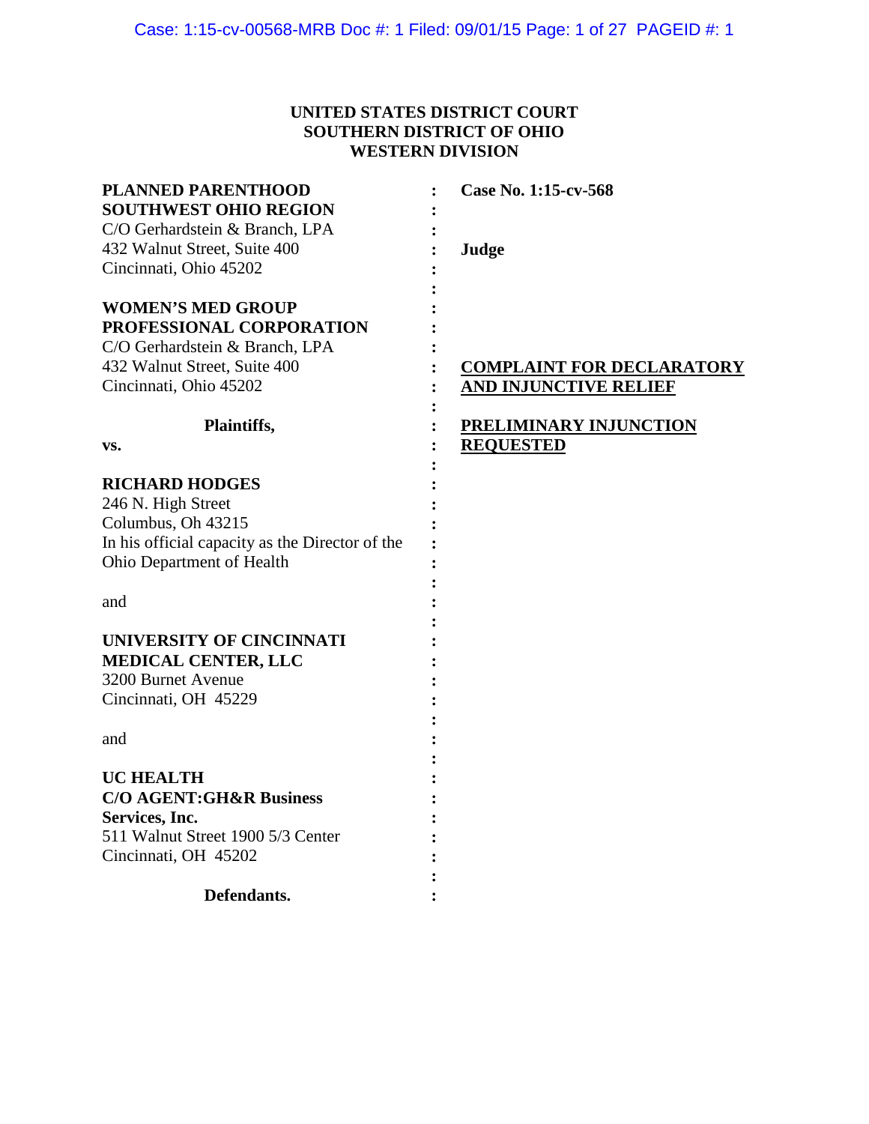# **UNITED STATES DISTRICT COURT SOUTHERN DISTRICT OF OHIO WESTERN DIVISION**

| <b>PLANNED PARENTHOOD</b>                       | Case No. 1:15-cv-568             |
|-------------------------------------------------|----------------------------------|
| <b>SOUTHWEST OHIO REGION</b>                    |                                  |
| C/O Gerhardstein & Branch, LPA                  |                                  |
| 432 Walnut Street, Suite 400                    | Judge                            |
| Cincinnati, Ohio 45202                          |                                  |
| <b>WOMEN'S MED GROUP</b>                        |                                  |
| PROFESSIONAL CORPORATION                        |                                  |
| C/O Gerhardstein & Branch, LPA                  |                                  |
| 432 Walnut Street, Suite 400                    | <b>COMPLAINT FOR DECLARATORY</b> |
| Cincinnati, Ohio 45202                          | <b>AND INJUNCTIVE RELIEF</b>     |
| Plaintiffs,                                     | <b>PRELIMINARY INJUNCTION</b>    |
| VS.                                             | <b>REQUESTED</b>                 |
| <b>RICHARD HODGES</b>                           |                                  |
| 246 N. High Street                              |                                  |
| Columbus, Oh 43215                              |                                  |
| In his official capacity as the Director of the |                                  |
| Ohio Department of Health                       |                                  |
|                                                 |                                  |
| and                                             |                                  |
| UNIVERSITY OF CINCINNATI                        |                                  |
| <b>MEDICAL CENTER, LLC</b>                      |                                  |
| 3200 Burnet Avenue                              |                                  |
| Cincinnati, OH 45229                            |                                  |
|                                                 |                                  |
| and                                             |                                  |
|                                                 |                                  |
| <b>UC HEALTH</b>                                |                                  |
| <b>C/O AGENT:GH&amp;R Business</b>              |                                  |
| <b>Services, Inc.</b>                           |                                  |
| 511 Walnut Street 1900 5/3 Center               |                                  |
| Cincinnati, OH 45202                            |                                  |
|                                                 |                                  |
| Defendants.                                     |                                  |
|                                                 |                                  |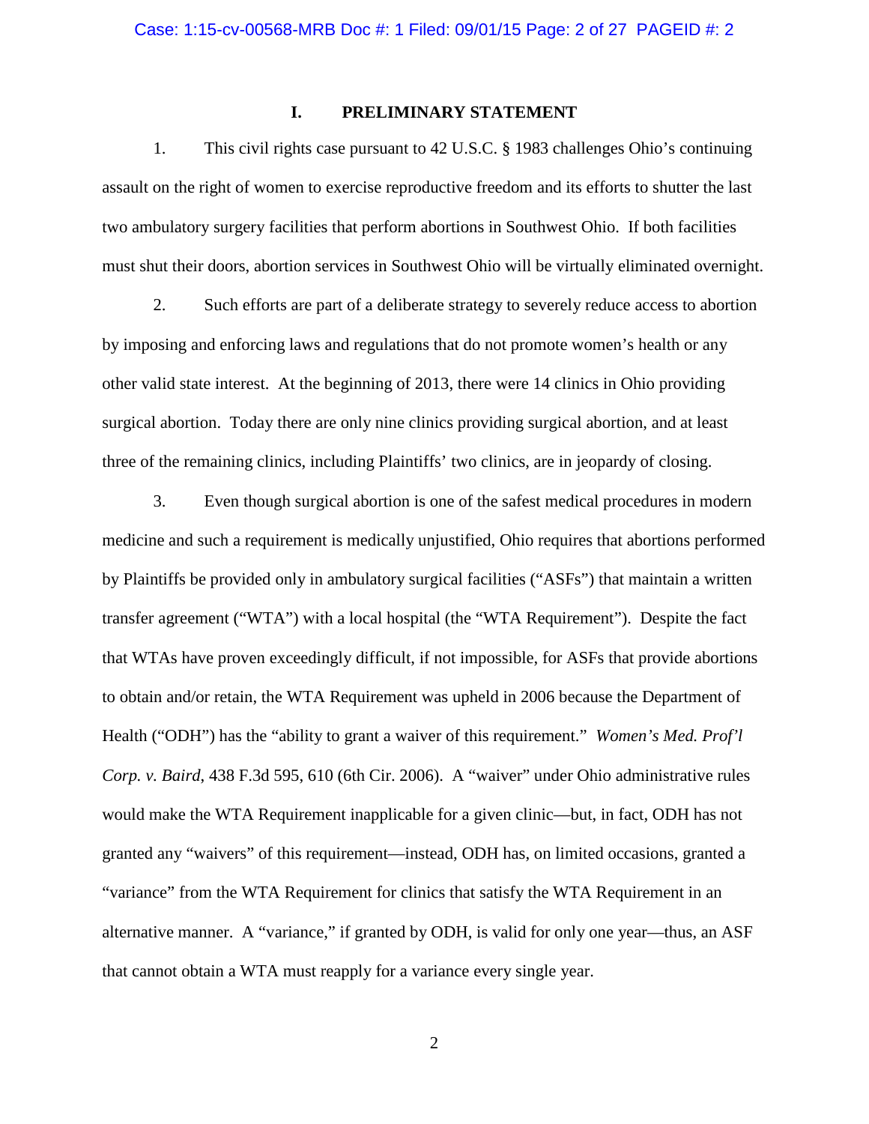## **I. PRELIMINARY STATEMENT**

1. This civil rights case pursuant to 42 U.S.C. § 1983 challenges Ohio's continuing assault on the right of women to exercise reproductive freedom and its efforts to shutter the last two ambulatory surgery facilities that perform abortions in Southwest Ohio. If both facilities must shut their doors, abortion services in Southwest Ohio will be virtually eliminated overnight.

2. Such efforts are part of a deliberate strategy to severely reduce access to abortion by imposing and enforcing laws and regulations that do not promote women's health or any other valid state interest. At the beginning of 2013, there were 14 clinics in Ohio providing surgical abortion. Today there are only nine clinics providing surgical abortion, and at least three of the remaining clinics, including Plaintiffs' two clinics, are in jeopardy of closing.

3. Even though surgical abortion is one of the safest medical procedures in modern medicine and such a requirement is medically unjustified, Ohio requires that abortions performed by Plaintiffs be provided only in ambulatory surgical facilities ("ASFs") that maintain a written transfer agreement ("WTA") with a local hospital (the "WTA Requirement"). Despite the fact that WTAs have proven exceedingly difficult, if not impossible, for ASFs that provide abortions to obtain and/or retain, the WTA Requirement was upheld in 2006 because the Department of Health ("ODH") has the "ability to grant a waiver of this requirement." *Women's Med. Prof'l Corp. v. Baird*, 438 F.3d 595, 610 (6th Cir. 2006). A "waiver" under Ohio administrative rules would make the WTA Requirement inapplicable for a given clinic—but, in fact, ODH has not granted any "waivers" of this requirement—instead, ODH has, on limited occasions, granted a "variance" from the WTA Requirement for clinics that satisfy the WTA Requirement in an alternative manner. A "variance," if granted by ODH, is valid for only one year—thus, an ASF that cannot obtain a WTA must reapply for a variance every single year.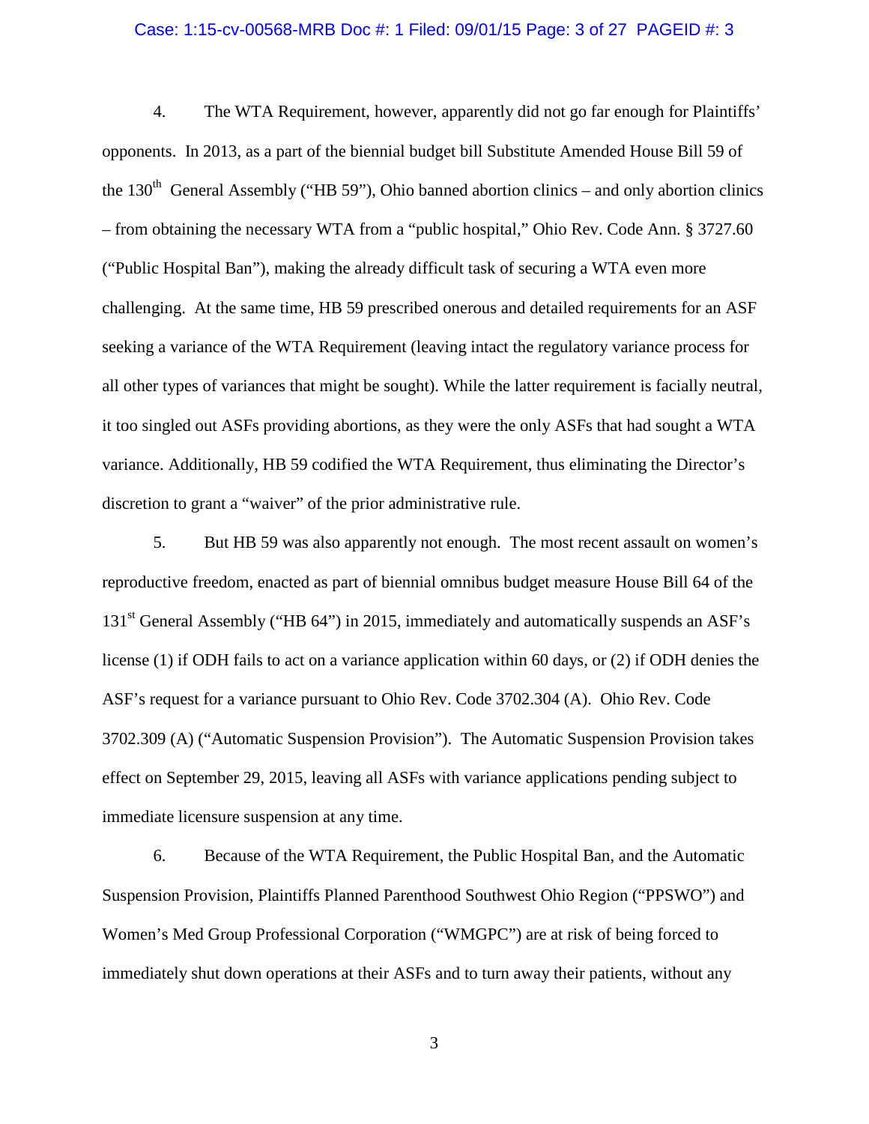#### Case: 1:15-cv-00568-MRB Doc #: 1 Filed: 09/01/15 Page: 3 of 27 PAGEID #: 3

4. The WTA Requirement, however, apparently did not go far enough for Plaintiffs' opponents. In 2013, as a part of the biennial budget bill Substitute Amended House Bill 59 of the  $130<sup>th</sup>$  General Assembly ("HB 59"), Ohio banned abortion clinics – and only abortion clinics – from obtaining the necessary WTA from a "public hospital," Ohio Rev. Code Ann. § 3727.60 ("Public Hospital Ban"), making the already difficult task of securing a WTA even more challenging. At the same time, HB 59 prescribed onerous and detailed requirements for an ASF seeking a variance of the WTA Requirement (leaving intact the regulatory variance process for all other types of variances that might be sought). While the latter requirement is facially neutral, it too singled out ASFs providing abortions, as they were the only ASFs that had sought a WTA variance. Additionally, HB 59 codified the WTA Requirement, thus eliminating the Director's discretion to grant a "waiver" of the prior administrative rule.

5. But HB 59 was also apparently not enough. The most recent assault on women's reproductive freedom, enacted as part of biennial omnibus budget measure House Bill 64 of the 131<sup>st</sup> General Assembly ("HB 64") in 2015, immediately and automatically suspends an ASF's license (1) if ODH fails to act on a variance application within 60 days, or (2) if ODH denies the ASF's request for a variance pursuant to Ohio Rev. Code 3702.304 (A). Ohio Rev. Code 3702.309 (A) ("Automatic Suspension Provision"). The Automatic Suspension Provision takes effect on September 29, 2015, leaving all ASFs with variance applications pending subject to immediate licensure suspension at any time.

6. Because of the WTA Requirement, the Public Hospital Ban, and the Automatic Suspension Provision, Plaintiffs Planned Parenthood Southwest Ohio Region ("PPSWO") and Women's Med Group Professional Corporation ("WMGPC") are at risk of being forced to immediately shut down operations at their ASFs and to turn away their patients, without any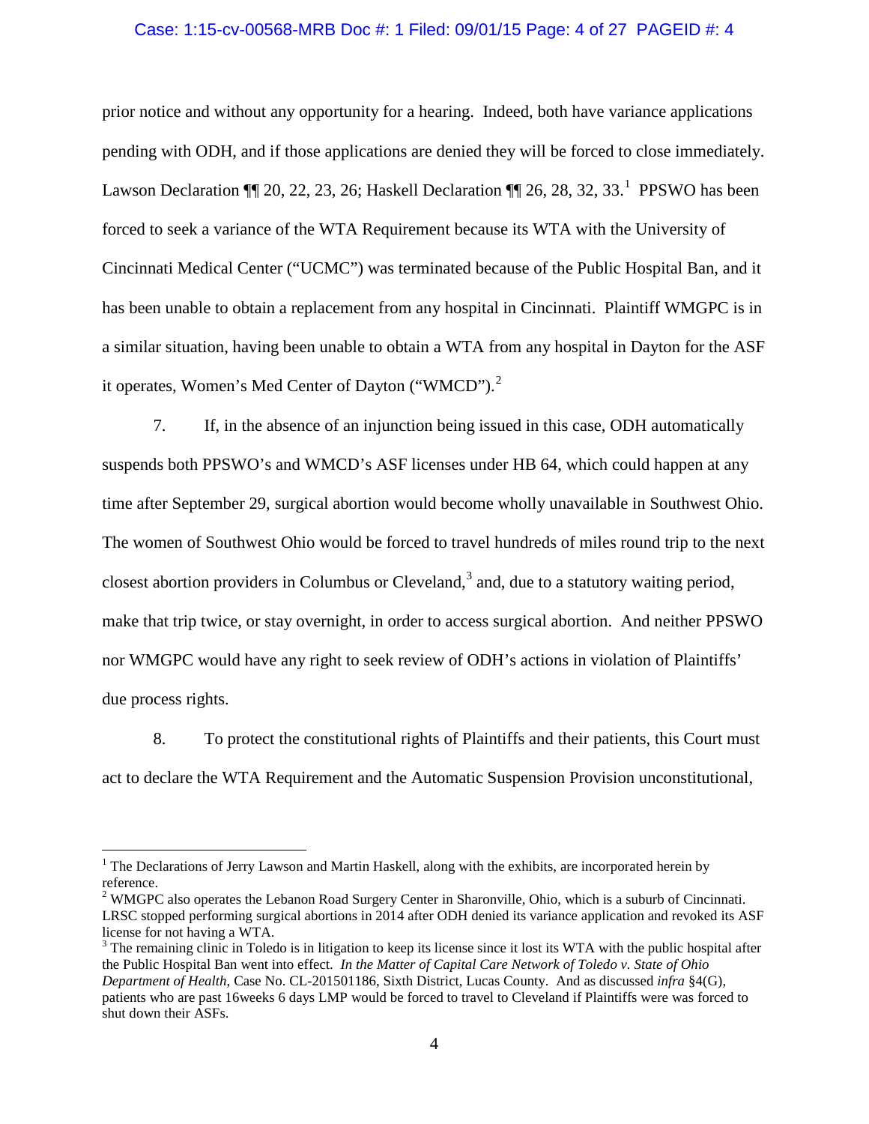#### Case: 1:15-cv-00568-MRB Doc #: 1 Filed: 09/01/15 Page: 4 of 27 PAGEID #: 4

prior notice and without any opportunity for a hearing. Indeed, both have variance applications pending with ODH, and if those applications are denied they will be forced to close immediately. Lawson Declaration  $\P$  20, 22, 23, 26; Haskell Declaration  $\P$  26, 28, 32, 33.<sup>[1](#page-3-0)</sup> PPSWO has been forced to seek a variance of the WTA Requirement because its WTA with the University of Cincinnati Medical Center ("UCMC") was terminated because of the Public Hospital Ban, and it has been unable to obtain a replacement from any hospital in Cincinnati. Plaintiff WMGPC is in a similar situation, having been unable to obtain a WTA from any hospital in Dayton for the ASF it operates, Women's Med Center of Dayton ("WMCD").<sup>[2](#page-3-1)</sup>

7. If, in the absence of an injunction being issued in this case, ODH automatically suspends both PPSWO's and WMCD's ASF licenses under HB 64, which could happen at any time after September 29, surgical abortion would become wholly unavailable in Southwest Ohio. The women of Southwest Ohio would be forced to travel hundreds of miles round trip to the next closest abortion providers in Columbus or Cleveland,<sup>[3](#page-3-2)</sup> and, due to a statutory waiting period, make that trip twice, or stay overnight, in order to access surgical abortion. And neither PPSWO nor WMGPC would have any right to seek review of ODH's actions in violation of Plaintiffs' due process rights.

8. To protect the constitutional rights of Plaintiffs and their patients, this Court must act to declare the WTA Requirement and the Automatic Suspension Provision unconstitutional,

 $\overline{a}$ 

<span id="page-3-0"></span><sup>&</sup>lt;sup>1</sup> The Declarations of Jerry Lawson and Martin Haskell, along with the exhibits, are incorporated herein by reference.

<span id="page-3-1"></span><sup>&</sup>lt;sup>2</sup> WMGPC also operates the Lebanon Road Surgery Center in Sharonville, Ohio, which is a suburb of Cincinnati. LRSC stopped performing surgical abortions in 2014 after ODH denied its variance application and revoked its ASF license for not having a WTA.

<span id="page-3-2"></span><sup>&</sup>lt;sup>3</sup> The remaining clinic in Toledo is in litigation to keep its license since it lost its WTA with the public hospital after the Public Hospital Ban went into effect. *In the Matter of Capital Care Network of Toledo v. State of Ohio Department of Health*, Case No. CL-201501186, Sixth District, Lucas County. And as discussed *infra* §4(G), patients who are past 16weeks 6 days LMP would be forced to travel to Cleveland if Plaintiffs were was forced to shut down their ASFs.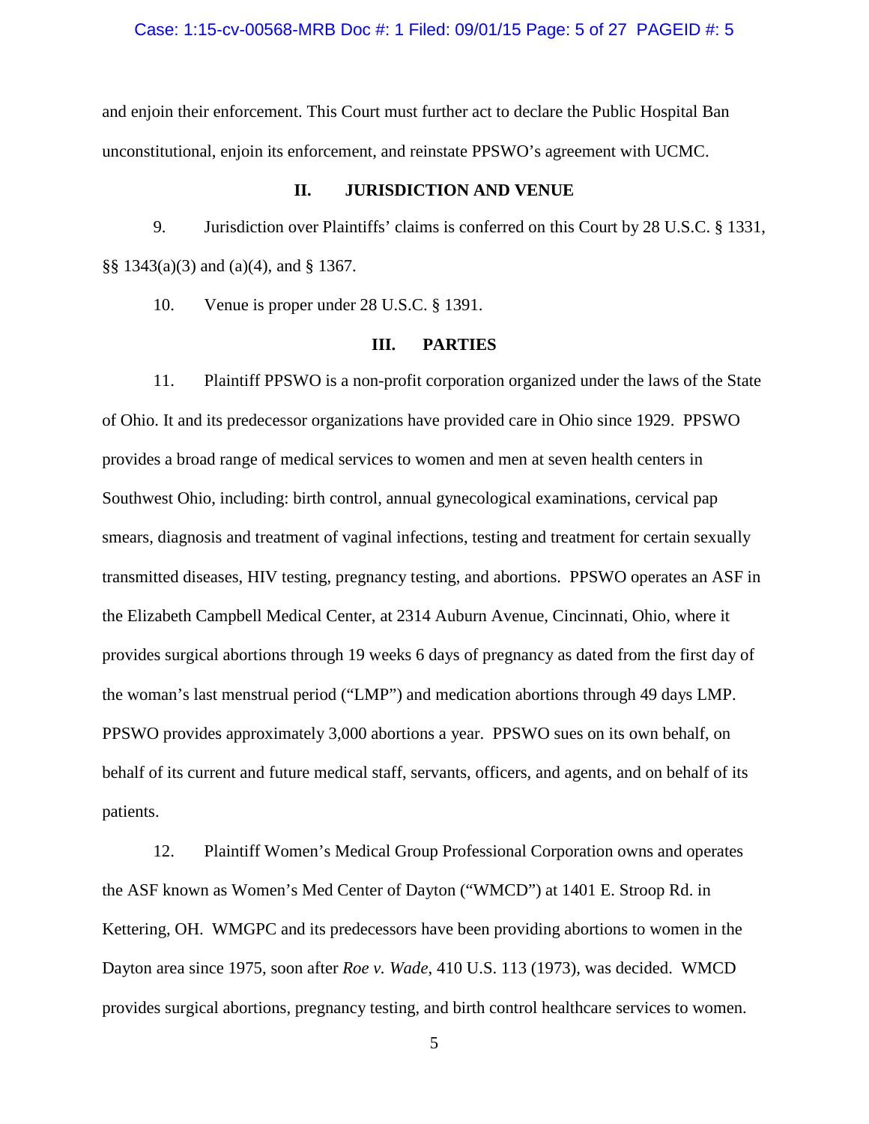Case: 1:15-cv-00568-MRB Doc #: 1 Filed: 09/01/15 Page: 5 of 27 PAGEID #: 5

and enjoin their enforcement. This Court must further act to declare the Public Hospital Ban unconstitutional, enjoin its enforcement, and reinstate PPSWO's agreement with UCMC.

## **II. JURISDICTION AND VENUE**

9. Jurisdiction over Plaintiffs' claims is conferred on this Court by 28 U.S.C. § 1331, §§ 1343(a)(3) and (a)(4), and § 1367.

10. Venue is proper under 28 U.S.C. § 1391.

## **III. PARTIES**

11. Plaintiff PPSWO is a non-profit corporation organized under the laws of the State of Ohio. It and its predecessor organizations have provided care in Ohio since 1929. PPSWO provides a broad range of medical services to women and men at seven health centers in Southwest Ohio, including: birth control, annual gynecological examinations, cervical pap smears, diagnosis and treatment of vaginal infections, testing and treatment for certain sexually transmitted diseases, HIV testing, pregnancy testing, and abortions. PPSWO operates an ASF in the Elizabeth Campbell Medical Center, at 2314 Auburn Avenue, Cincinnati, Ohio, where it provides surgical abortions through 19 weeks 6 days of pregnancy as dated from the first day of the woman's last menstrual period ("LMP") and medication abortions through 49 days LMP. PPSWO provides approximately 3,000 abortions a year. PPSWO sues on its own behalf, on behalf of its current and future medical staff, servants, officers, and agents, and on behalf of its patients.

12. Plaintiff Women's Medical Group Professional Corporation owns and operates the ASF known as Women's Med Center of Dayton ("WMCD") at 1401 E. Stroop Rd. in Kettering, OH. WMGPC and its predecessors have been providing abortions to women in the Dayton area since 1975, soon after *Roe v. Wade*, 410 U.S. 113 (1973), was decided. WMCD provides surgical abortions, pregnancy testing, and birth control healthcare services to women.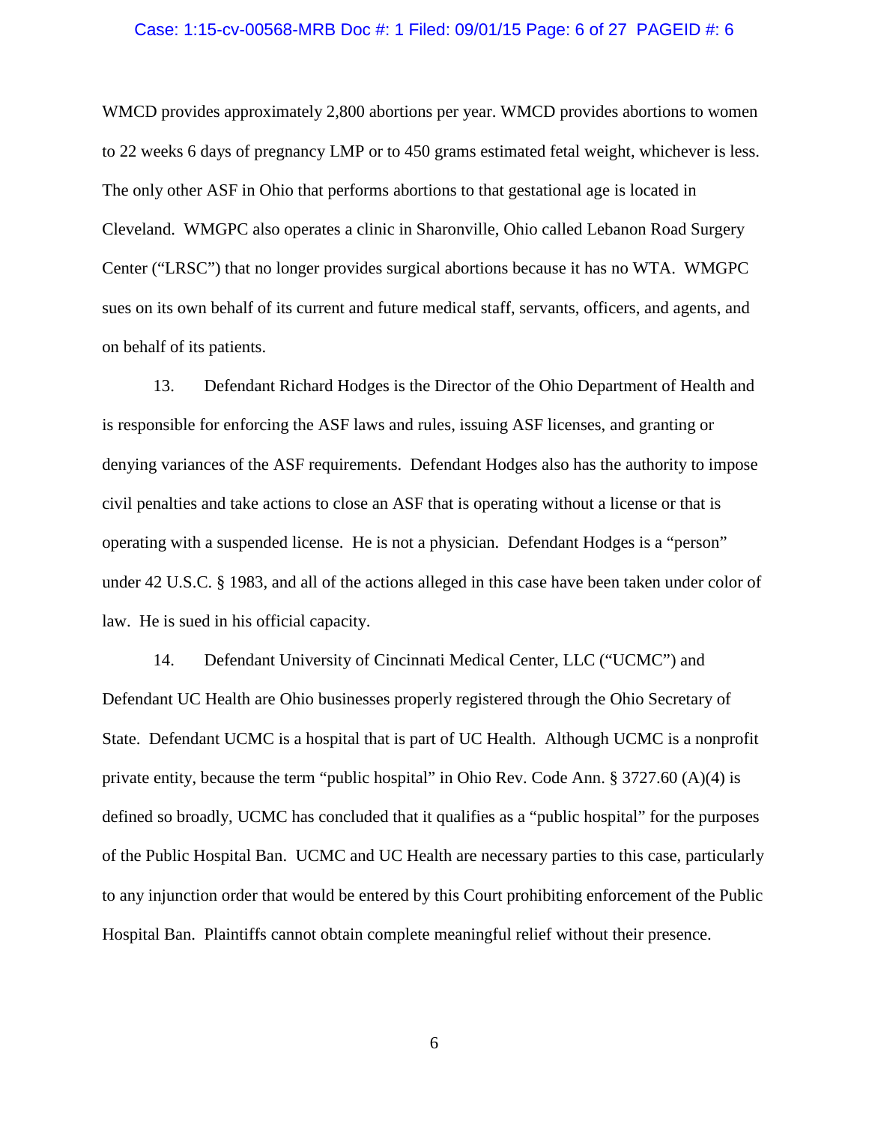#### Case: 1:15-cv-00568-MRB Doc #: 1 Filed: 09/01/15 Page: 6 of 27 PAGEID #: 6

WMCD provides approximately 2,800 abortions per year. WMCD provides abortions to women to 22 weeks 6 days of pregnancy LMP or to 450 grams estimated fetal weight, whichever is less. The only other ASF in Ohio that performs abortions to that gestational age is located in Cleveland. WMGPC also operates a clinic in Sharonville, Ohio called Lebanon Road Surgery Center ("LRSC") that no longer provides surgical abortions because it has no WTA. WMGPC sues on its own behalf of its current and future medical staff, servants, officers, and agents, and on behalf of its patients.

13. Defendant Richard Hodges is the Director of the Ohio Department of Health and is responsible for enforcing the ASF laws and rules, issuing ASF licenses, and granting or denying variances of the ASF requirements. Defendant Hodges also has the authority to impose civil penalties and take actions to close an ASF that is operating without a license or that is operating with a suspended license. He is not a physician. Defendant Hodges is a "person" under 42 U.S.C. § 1983, and all of the actions alleged in this case have been taken under color of law. He is sued in his official capacity.

14. Defendant University of Cincinnati Medical Center, LLC ("UCMC") and Defendant UC Health are Ohio businesses properly registered through the Ohio Secretary of State. Defendant UCMC is a hospital that is part of UC Health. Although UCMC is a nonprofit private entity, because the term "public hospital" in Ohio Rev. Code Ann. § 3727.60 (A)(4) is defined so broadly, UCMC has concluded that it qualifies as a "public hospital" for the purposes of the Public Hospital Ban. UCMC and UC Health are necessary parties to this case, particularly to any injunction order that would be entered by this Court prohibiting enforcement of the Public Hospital Ban. Plaintiffs cannot obtain complete meaningful relief without their presence.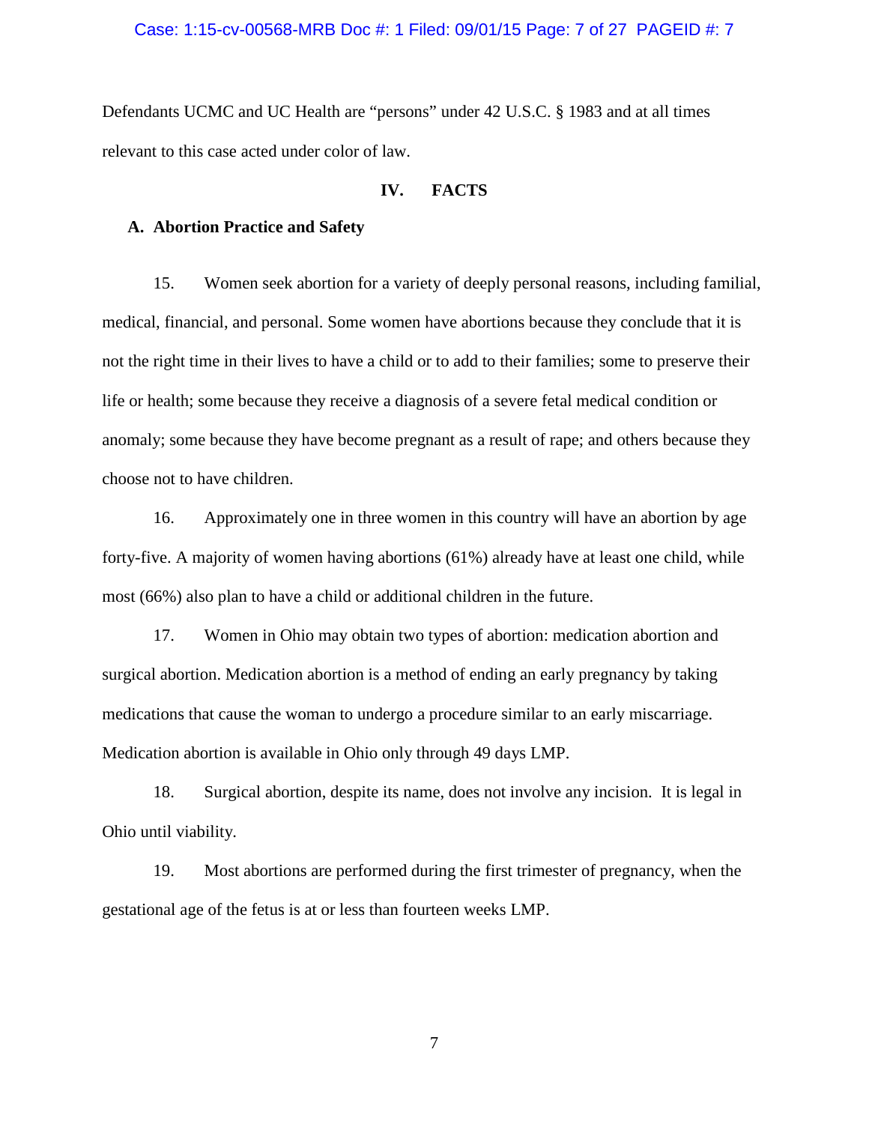#### Case: 1:15-cv-00568-MRB Doc #: 1 Filed: 09/01/15 Page: 7 of 27 PAGEID #: 7

Defendants UCMC and UC Health are "persons" under 42 U.S.C. § 1983 and at all times relevant to this case acted under color of law.

## **IV. FACTS**

## **A. Abortion Practice and Safety**

15. Women seek abortion for a variety of deeply personal reasons, including familial, medical, financial, and personal. Some women have abortions because they conclude that it is not the right time in their lives to have a child or to add to their families; some to preserve their life or health; some because they receive a diagnosis of a severe fetal medical condition or anomaly; some because they have become pregnant as a result of rape; and others because they choose not to have children.

16. Approximately one in three women in this country will have an abortion by age forty-five. A majority of women having abortions (61%) already have at least one child, while most (66%) also plan to have a child or additional children in the future.

17. Women in Ohio may obtain two types of abortion: medication abortion and surgical abortion. Medication abortion is a method of ending an early pregnancy by taking medications that cause the woman to undergo a procedure similar to an early miscarriage. Medication abortion is available in Ohio only through 49 days LMP.

18. Surgical abortion, despite its name, does not involve any incision. It is legal in Ohio until viability.

19. Most abortions are performed during the first trimester of pregnancy, when the gestational age of the fetus is at or less than fourteen weeks LMP.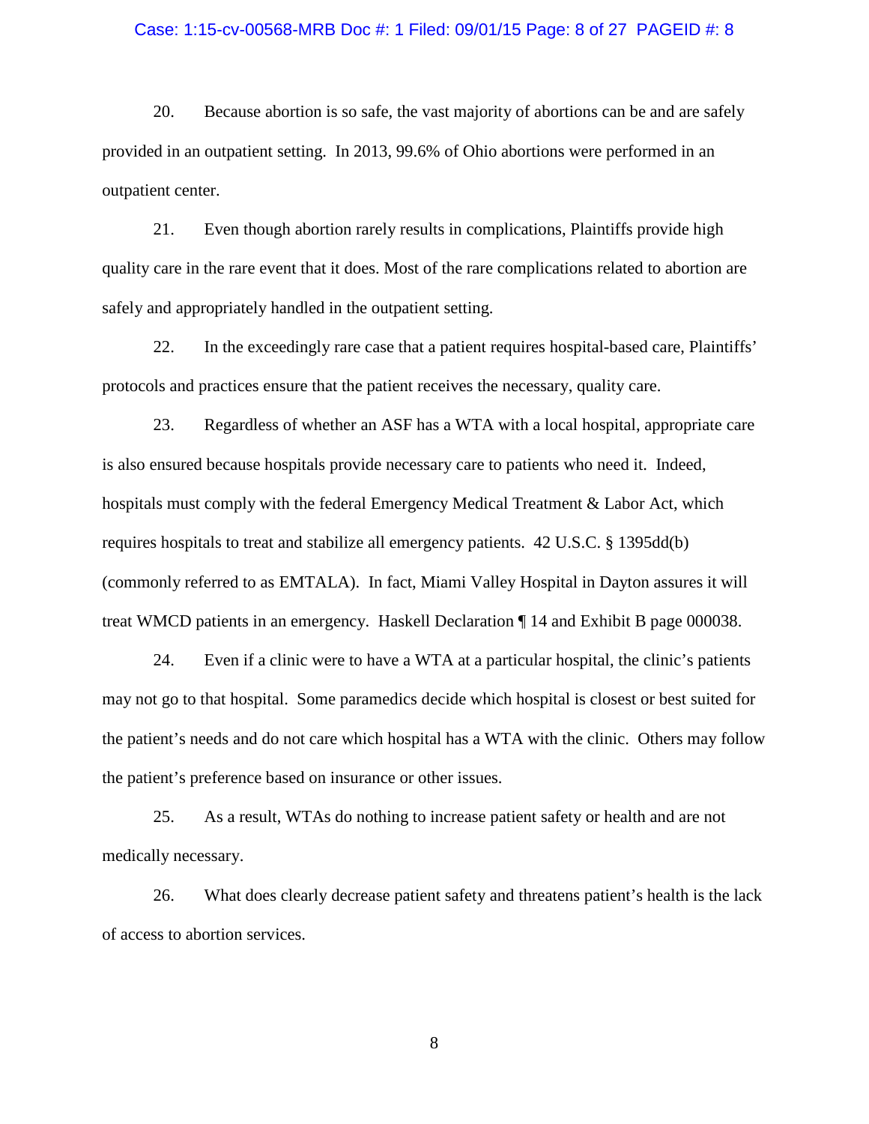#### Case: 1:15-cv-00568-MRB Doc #: 1 Filed: 09/01/15 Page: 8 of 27 PAGEID #: 8

20. Because abortion is so safe, the vast majority of abortions can be and are safely provided in an outpatient setting. In 2013, 99.6% of Ohio abortions were performed in an outpatient center.

21. Even though abortion rarely results in complications, Plaintiffs provide high quality care in the rare event that it does. Most of the rare complications related to abortion are safely and appropriately handled in the outpatient setting.

22. In the exceedingly rare case that a patient requires hospital-based care, Plaintiffs' protocols and practices ensure that the patient receives the necessary, quality care.

23. Regardless of whether an ASF has a WTA with a local hospital, appropriate care is also ensured because hospitals provide necessary care to patients who need it. Indeed, hospitals must comply with the federal Emergency Medical Treatment & Labor Act, which requires hospitals to treat and stabilize all emergency patients. 42 U.S.C. § 1395dd(b) (commonly referred to as EMTALA). In fact, Miami Valley Hospital in Dayton assures it will treat WMCD patients in an emergency. Haskell Declaration ¶ 14 and Exhibit B page 000038.

24. Even if a clinic were to have a WTA at a particular hospital, the clinic's patients may not go to that hospital. Some paramedics decide which hospital is closest or best suited for the patient's needs and do not care which hospital has a WTA with the clinic. Others may follow the patient's preference based on insurance or other issues.

25. As a result, WTAs do nothing to increase patient safety or health and are not medically necessary.

26. What does clearly decrease patient safety and threatens patient's health is the lack of access to abortion services.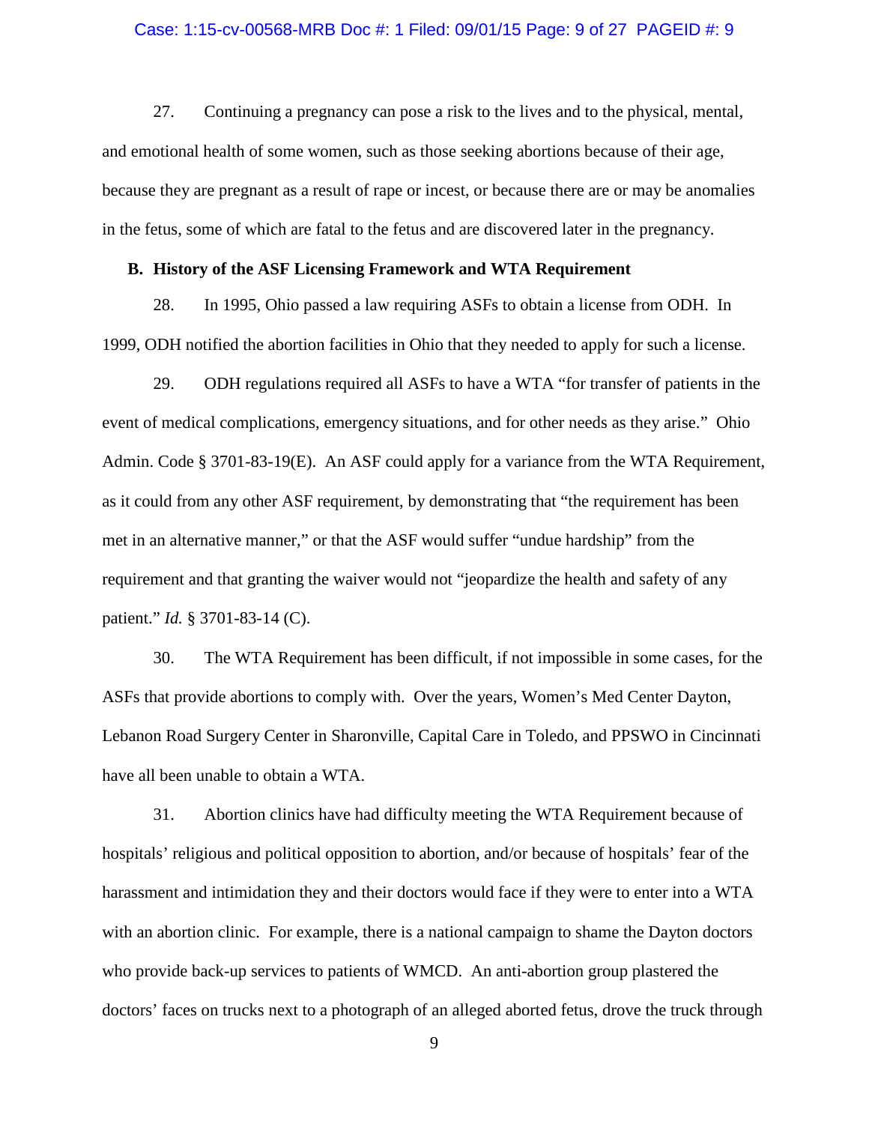#### Case: 1:15-cv-00568-MRB Doc #: 1 Filed: 09/01/15 Page: 9 of 27 PAGEID #: 9

27. Continuing a pregnancy can pose a risk to the lives and to the physical, mental, and emotional health of some women, such as those seeking abortions because of their age, because they are pregnant as a result of rape or incest, or because there are or may be anomalies in the fetus, some of which are fatal to the fetus and are discovered later in the pregnancy.

## **B. History of the ASF Licensing Framework and WTA Requirement**

28. In 1995, Ohio passed a law requiring ASFs to obtain a license from ODH. In 1999, ODH notified the abortion facilities in Ohio that they needed to apply for such a license.

29. ODH regulations required all ASFs to have a WTA "for transfer of patients in the event of medical complications, emergency situations, and for other needs as they arise." Ohio Admin. Code § 3701-83-19(E). An ASF could apply for a variance from the WTA Requirement, as it could from any other ASF requirement, by demonstrating that "the requirement has been met in an alternative manner," or that the ASF would suffer "undue hardship" from the requirement and that granting the waiver would not "jeopardize the health and safety of any patient." *Id.* § 3701-83-14 (C).

30. The WTA Requirement has been difficult, if not impossible in some cases, for the ASFs that provide abortions to comply with. Over the years, Women's Med Center Dayton, Lebanon Road Surgery Center in Sharonville, Capital Care in Toledo, and PPSWO in Cincinnati have all been unable to obtain a WTA.

31. Abortion clinics have had difficulty meeting the WTA Requirement because of hospitals' religious and political opposition to abortion, and/or because of hospitals' fear of the harassment and intimidation they and their doctors would face if they were to enter into a WTA with an abortion clinic. For example, there is a national campaign to shame the Dayton doctors who provide back-up services to patients of WMCD. An anti-abortion group plastered the doctors' faces on trucks next to a photograph of an alleged aborted fetus, drove the truck through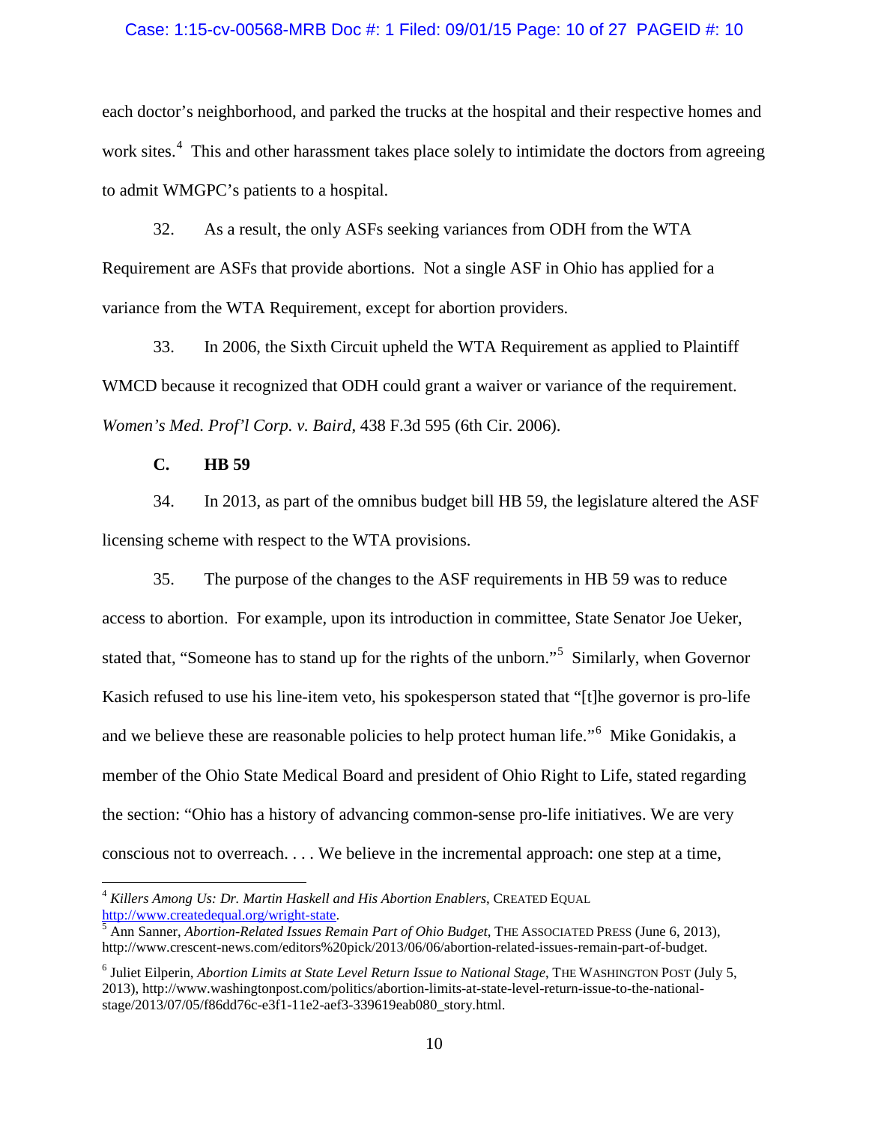#### Case: 1:15-cv-00568-MRB Doc #: 1 Filed: 09/01/15 Page: 10 of 27 PAGEID #: 10

each doctor's neighborhood, and parked the trucks at the hospital and their respective homes and work sites.<sup>[4](#page-9-0)</sup> This and other harassment takes place solely to intimidate the doctors from agreeing to admit WMGPC's patients to a hospital.

32. As a result, the only ASFs seeking variances from ODH from the WTA Requirement are ASFs that provide abortions. Not a single ASF in Ohio has applied for a variance from the WTA Requirement, except for abortion providers.

33. In 2006, the Sixth Circuit upheld the WTA Requirement as applied to Plaintiff WMCD because it recognized that ODH could grant a waiver or variance of the requirement. *Women's Med. Prof'l Corp. v. Baird*, 438 F.3d 595 (6th Cir. 2006).

**C. HB 59**

 $\overline{a}$ 

34. In 2013, as part of the omnibus budget bill HB 59, the legislature altered the ASF licensing scheme with respect to the WTA provisions.

35. The purpose of the changes to the ASF requirements in HB 59 was to reduce access to abortion. For example, upon its introduction in committee, State Senator Joe Ueker, stated that, "Someone has to stand up for the rights of the unborn."<sup>[5](#page-9-1)</sup> Similarly, when Governor Kasich refused to use his line-item veto, his spokesperson stated that "[t]he governor is pro-life and we believe these are reasonable policies to help protect human life."<sup>[6](#page-9-2)</sup> Mike Gonidakis, a member of the Ohio State Medical Board and president of Ohio Right to Life, stated regarding the section: "Ohio has a history of advancing common-sense pro-life initiatives. We are very conscious not to overreach. . . . We believe in the incremental approach: one step at a time,

<span id="page-9-0"></span><sup>&</sup>lt;sup>4</sup> Killers Among Us: Dr. Martin Haskell and His Abortion Enablers, CREATED EQUAL http://www.createdequal.org/wright-state.

<span id="page-9-1"></span> $\frac{5}{5}$  $\frac{5}{5}$  $\frac{5}{5}$  Ann Sanner, *Abortion-Related Issues Remain Part of Ohio Budget*, THE ASSOCIATED PRESS (June 6, 2013), http://www.crescent-news.com/editors%20pick/2013/06/06/abortion-related-issues-remain-part-of-budget.

<span id="page-9-2"></span><sup>6</sup> Juliet Eilperin, *Abortion Limits at State Level Return Issue to National Stage*, THE WASHINGTON POST (July 5, 2013), http://www.washingtonpost.com/politics/abortion-limits-at-state-level-return-issue-to-the-nationalstage/2013/07/05/f86dd76c-e3f1-11e2-aef3-339619eab080\_story.html.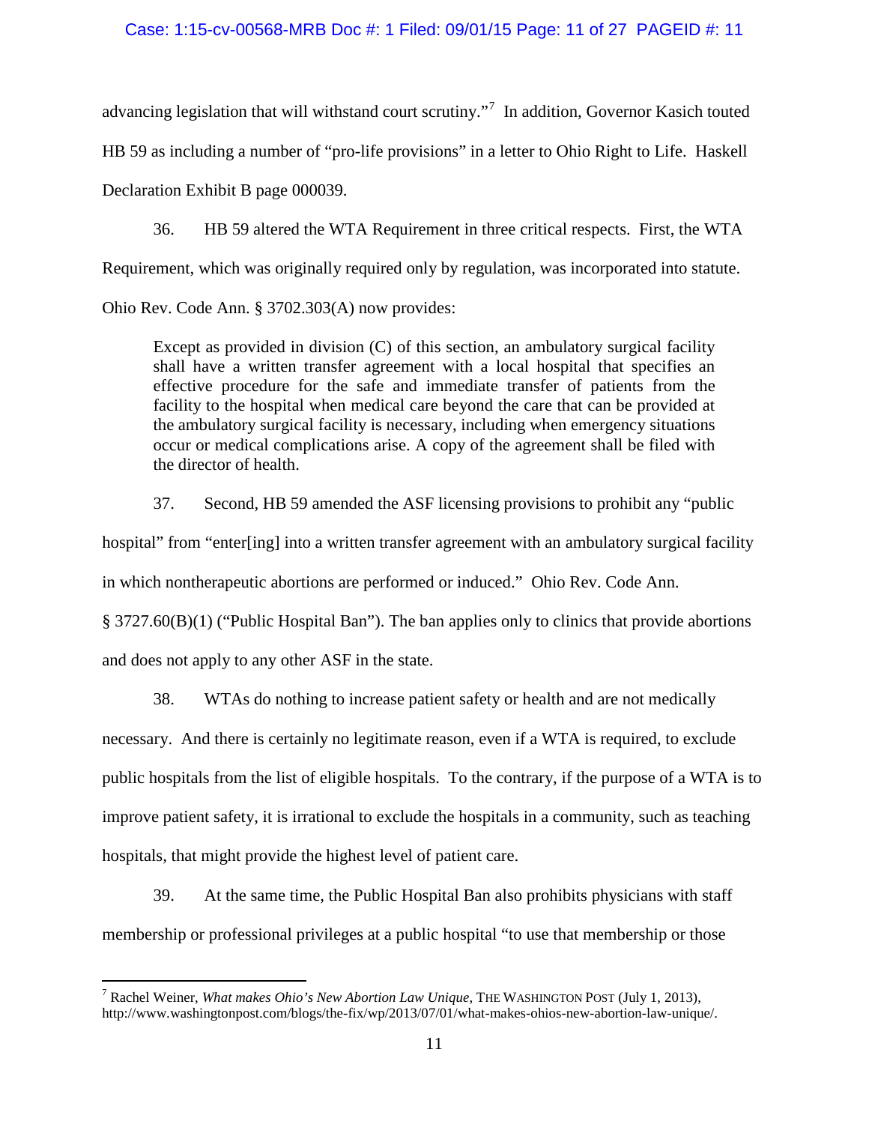## Case: 1:15-cv-00568-MRB Doc #: 1 Filed: 09/01/15 Page: 11 of 27 PAGEID #: 11

advancing legislation that will withstand court scrutiny."<sup>[7](#page-10-0)</sup> In addition, Governor Kasich touted HB 59 as including a number of "pro-life provisions" in a letter to Ohio Right to Life. Haskell Declaration Exhibit B page 000039.

36. HB 59 altered the WTA Requirement in three critical respects. First, the WTA Requirement, which was originally required only by regulation, was incorporated into statute. Ohio Rev. Code Ann. § 3702.303(A) now provides:

Except as provided in division (C) of this section, an ambulatory surgical facility shall have a written transfer agreement with a local hospital that specifies an effective procedure for the safe and immediate transfer of patients from the facility to the hospital when medical care beyond the care that can be provided at the ambulatory surgical facility is necessary, including when emergency situations occur or medical complications arise. A copy of the agreement shall be filed with the director of health.

37. Second, HB 59 amended the ASF licensing provisions to prohibit any "public

hospital" from "enter[ing] into a written transfer agreement with an ambulatory surgical facility

in which nontherapeutic abortions are performed or induced." Ohio Rev. Code Ann.

§ 3727.60(B)(1) ("Public Hospital Ban"). The ban applies only to clinics that provide abortions and does not apply to any other ASF in the state.

38. WTAs do nothing to increase patient safety or health and are not medically necessary. And there is certainly no legitimate reason, even if a WTA is required, to exclude public hospitals from the list of eligible hospitals. To the contrary, if the purpose of a WTA is to improve patient safety, it is irrational to exclude the hospitals in a community, such as teaching hospitals, that might provide the highest level of patient care.

39. At the same time, the Public Hospital Ban also prohibits physicians with staff membership or professional privileges at a public hospital "to use that membership or those

<span id="page-10-0"></span><sup>7</sup> Rachel Weiner, *What makes Ohio's New Abortion Law Unique*, THE WASHINGTON POST (July 1, 2013), http://www.washingtonpost.com/blogs/the-fix/wp/2013/07/01/what-makes-ohios-new-abortion-law-unique/.  $\overline{a}$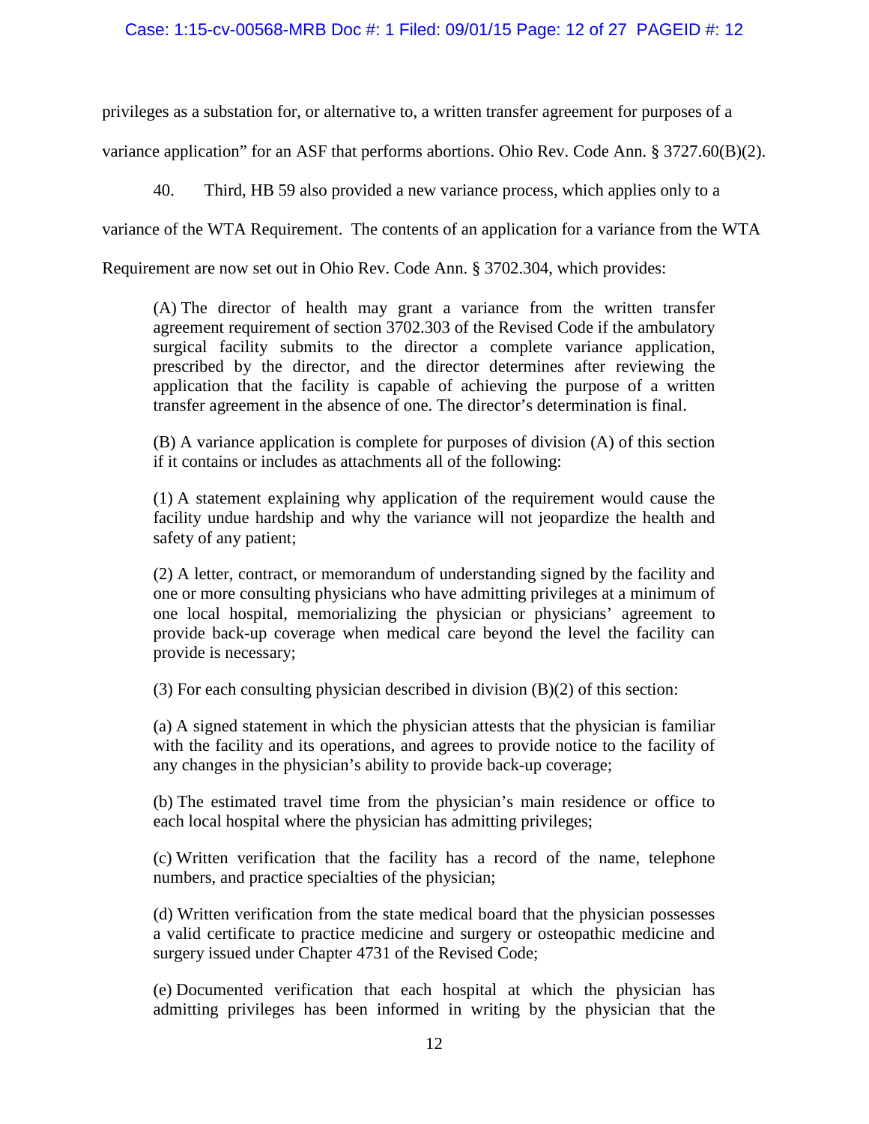## Case: 1:15-cv-00568-MRB Doc #: 1 Filed: 09/01/15 Page: 12 of 27 PAGEID #: 12

privileges as a substation for, or alternative to, a written transfer agreement for purposes of a

variance application" for an ASF that performs abortions. Ohio Rev. Code Ann. § 3727.60(B)(2).

40. Third, HB 59 also provided a new variance process, which applies only to a

variance of the WTA Requirement. The contents of an application for a variance from the WTA

Requirement are now set out in Ohio Rev. Code Ann. § 3702.304, which provides:

(A) The director of health may grant a variance from the written transfer agreement requirement of section 3702.303 of the Revised Code if the ambulatory surgical facility submits to the director a complete variance application, prescribed by the director, and the director determines after reviewing the application that the facility is capable of achieving the purpose of a written transfer agreement in the absence of one. The director's determination is final.

(B) A variance application is complete for purposes of division (A) of this section if it contains or includes as attachments all of the following:

(1) A statement explaining why application of the requirement would cause the facility undue hardship and why the variance will not jeopardize the health and safety of any patient;

(2) A letter, contract, or memorandum of understanding signed by the facility and one or more consulting physicians who have admitting privileges at a minimum of one local hospital, memorializing the physician or physicians' agreement to provide back-up coverage when medical care beyond the level the facility can provide is necessary;

(3) For each consulting physician described in division (B)(2) of this section:

(a) A signed statement in which the physician attests that the physician is familiar with the facility and its operations, and agrees to provide notice to the facility of any changes in the physician's ability to provide back-up coverage;

(b) The estimated travel time from the physician's main residence or office to each local hospital where the physician has admitting privileges;

(c) Written verification that the facility has a record of the name, telephone numbers, and practice specialties of the physician;

(d) Written verification from the state medical board that the physician possesses a valid certificate to practice medicine and surgery or osteopathic medicine and surgery issued under Chapter 4731 of the Revised Code;

(e) Documented verification that each hospital at which the physician has admitting privileges has been informed in writing by the physician that the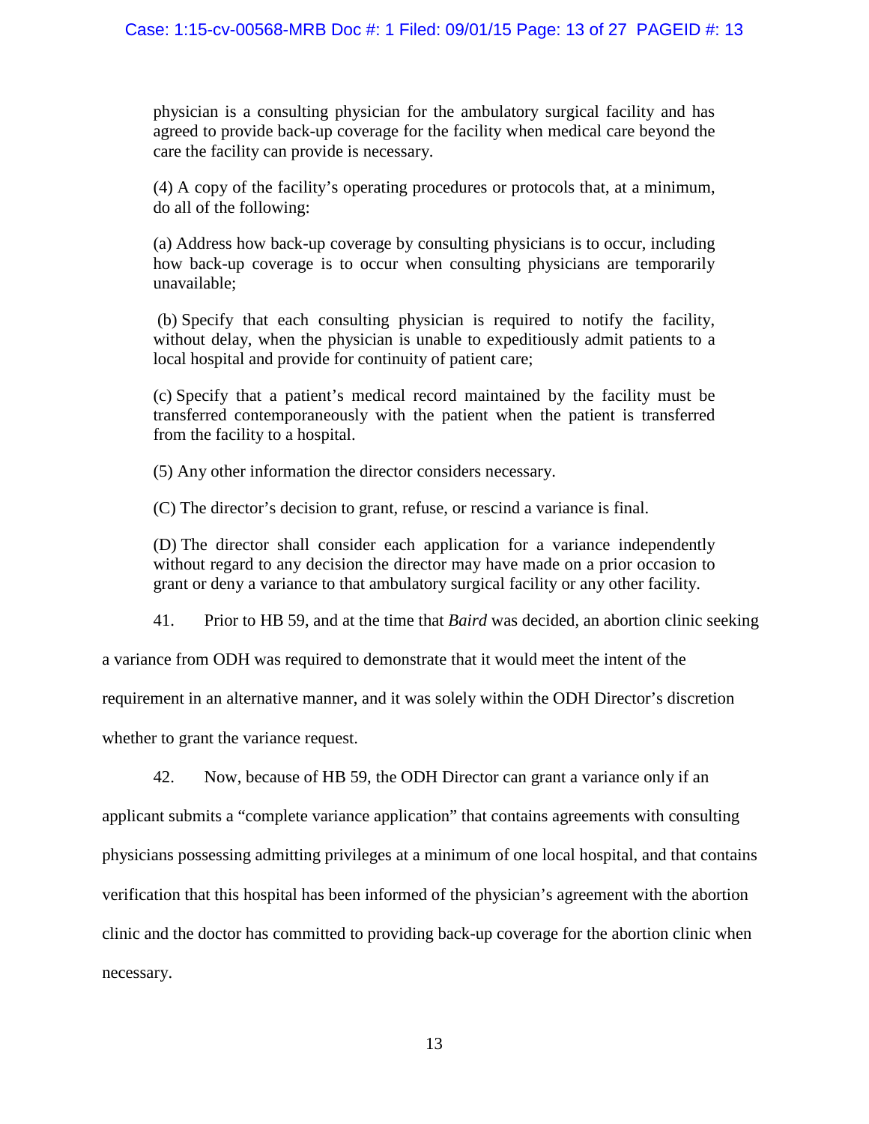physician is a consulting physician for the ambulatory surgical facility and has agreed to provide back-up coverage for the facility when medical care beyond the care the facility can provide is necessary.

(4) A copy of the facility's operating procedures or protocols that, at a minimum, do all of the following:

(a) Address how back-up coverage by consulting physicians is to occur, including how back-up coverage is to occur when consulting physicians are temporarily unavailable;

(b) Specify that each consulting physician is required to notify the facility, without delay, when the physician is unable to expeditiously admit patients to a local hospital and provide for continuity of patient care;

(c) Specify that a patient's medical record maintained by the facility must be transferred contemporaneously with the patient when the patient is transferred from the facility to a hospital.

(5) Any other information the director considers necessary.

(C) The director's decision to grant, refuse, or rescind a variance is final.

(D) The director shall consider each application for a variance independently without regard to any decision the director may have made on a prior occasion to grant or deny a variance to that ambulatory surgical facility or any other facility.

41. Prior to HB 59, and at the time that *Baird* was decided, an abortion clinic seeking

a variance from ODH was required to demonstrate that it would meet the intent of the

requirement in an alternative manner, and it was solely within the ODH Director's discretion

whether to grant the variance request.

42. Now, because of HB 59, the ODH Director can grant a variance only if an

applicant submits a "complete variance application" that contains agreements with consulting physicians possessing admitting privileges at a minimum of one local hospital, and that contains verification that this hospital has been informed of the physician's agreement with the abortion clinic and the doctor has committed to providing back-up coverage for the abortion clinic when necessary.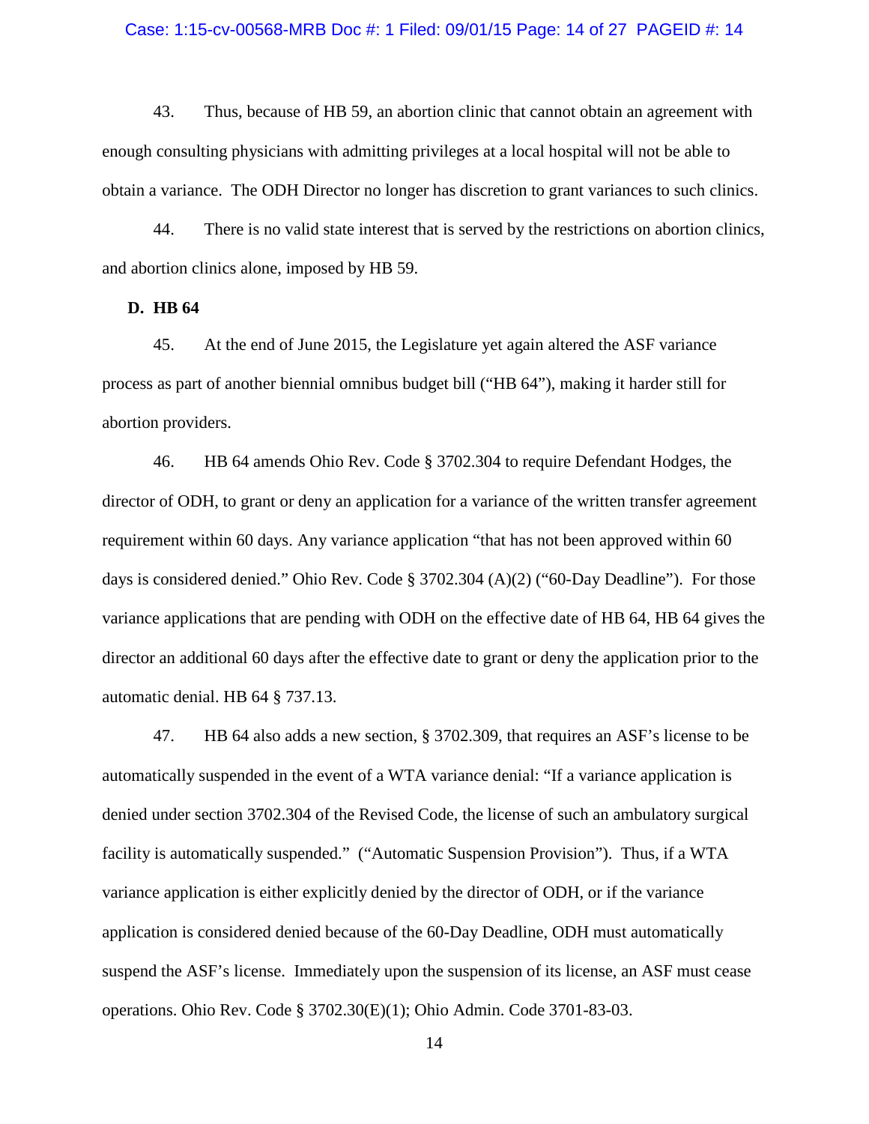#### Case: 1:15-cv-00568-MRB Doc #: 1 Filed: 09/01/15 Page: 14 of 27 PAGEID #: 14

43. Thus, because of HB 59, an abortion clinic that cannot obtain an agreement with enough consulting physicians with admitting privileges at a local hospital will not be able to obtain a variance. The ODH Director no longer has discretion to grant variances to such clinics.

44. There is no valid state interest that is served by the restrictions on abortion clinics, and abortion clinics alone, imposed by HB 59.

**D. HB 64**

45. At the end of June 2015, the Legislature yet again altered the ASF variance process as part of another biennial omnibus budget bill ("HB 64"), making it harder still for abortion providers.

46. HB 64 amends Ohio Rev. Code § 3702.304 to require Defendant Hodges, the director of ODH, to grant or deny an application for a variance of the written transfer agreement requirement within 60 days. Any variance application "that has not been approved within 60 days is considered denied." Ohio Rev. Code § 3702.304 (A)(2) ("60-Day Deadline"). For those variance applications that are pending with ODH on the effective date of HB 64, HB 64 gives the director an additional 60 days after the effective date to grant or deny the application prior to the automatic denial. HB 64 § 737.13.

47. HB 64 also adds a new section, § 3702.309, that requires an ASF's license to be automatically suspended in the event of a WTA variance denial: "If a variance application is denied under section 3702.304 of the Revised Code, the license of such an ambulatory surgical facility is automatically suspended." ("Automatic Suspension Provision"). Thus, if a WTA variance application is either explicitly denied by the director of ODH, or if the variance application is considered denied because of the 60-Day Deadline, ODH must automatically suspend the ASF's license. Immediately upon the suspension of its license, an ASF must cease operations. Ohio Rev. Code § 3702.30(E)(1); Ohio Admin. Code 3701-83-03.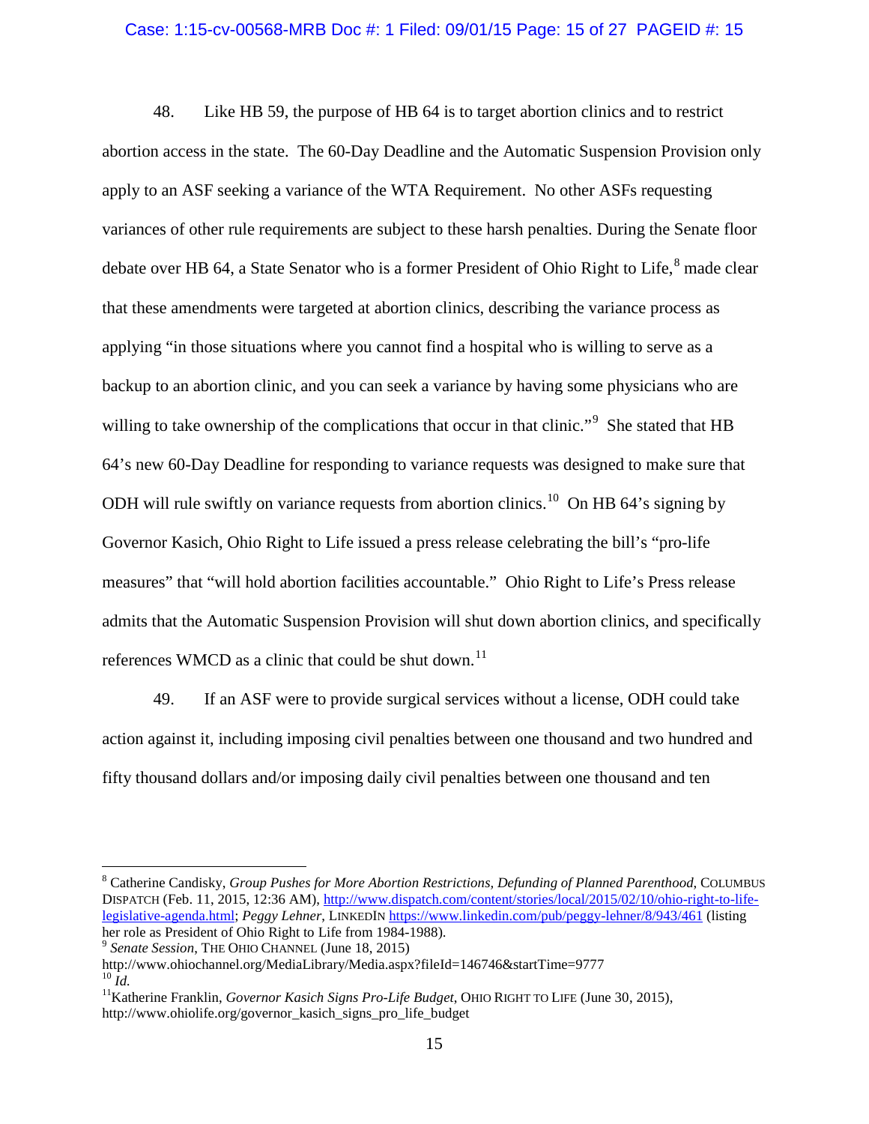#### Case: 1:15-cv-00568-MRB Doc #: 1 Filed: 09/01/15 Page: 15 of 27 PAGEID #: 15

48. Like HB 59, the purpose of HB 64 is to target abortion clinics and to restrict abortion access in the state. The 60-Day Deadline and the Automatic Suspension Provision only apply to an ASF seeking a variance of the WTA Requirement. No other ASFs requesting variances of other rule requirements are subject to these harsh penalties. During the Senate floor debate over HB 64, a State Senator who is a former President of Ohio Right to Life, $8$  made clear that these amendments were targeted at abortion clinics, describing the variance process as applying "in those situations where you cannot find a hospital who is willing to serve as a backup to an abortion clinic, and you can seek a variance by having some physicians who are willing to take ownership of the complications that occur in that clinic."<sup>[9](#page-14-1)</sup> She stated that HB 64's new 60-Day Deadline for responding to variance requests was designed to make sure that ODH will rule swiftly on variance requests from abortion clinics.<sup>10</sup> On HB 64's signing by Governor Kasich, Ohio Right to Life issued a press release celebrating the bill's "pro-life measures" that "will hold abortion facilities accountable." Ohio Right to Life's Press release admits that the Automatic Suspension Provision will shut down abortion clinics, and specifically references WMCD as a clinic that could be shut down.<sup>[11](#page-14-3)</sup>

49. If an ASF were to provide surgical services without a license, ODH could take action against it, including imposing civil penalties between one thousand and two hundred and fifty thousand dollars and/or imposing daily civil penalties between one thousand and ten

 $\overline{a}$ 

<span id="page-14-0"></span><sup>8</sup> Catherine Candisky, *Group Pushes for More Abortion Restrictions, Defunding of Planned Parenthood*, COLUMBUS DISPATCH (Feb. 11, 2015, 12:36 AM), [http://www.dispatch.com/content/stories/local/2015/02/10/ohio-right-to-life](http://www.dispatch.com/content/stories/local/2015/02/10/ohio-right-to-life-legislative-agenda.html)[legislative-agenda.html;](http://www.dispatch.com/content/stories/local/2015/02/10/ohio-right-to-life-legislative-agenda.html) *Peggy Lehner*, LINKEDIN <https://www.linkedin.com/pub/peggy-lehner/8/943/461> (listing her role as President of Ohio Right to Life from 1984-1988).<br><sup>9</sup> *Senate Session*, THE OHIO CHANNEL (June 18, 2015)

<span id="page-14-1"></span>

http://www.ohiochannel.org/MediaLibrary/Media.aspx?fileId=146746&startTime=9777

<span id="page-14-3"></span><span id="page-14-2"></span><sup>&</sup>lt;sup>11</sup> Katherine Franklin, *Governor Kasich Signs Pro-Life Budget*, OHIO RIGHT TO LIFE (June 30, 2015), http://www.ohiolife.org/governor\_kasich\_signs\_pro\_life\_budget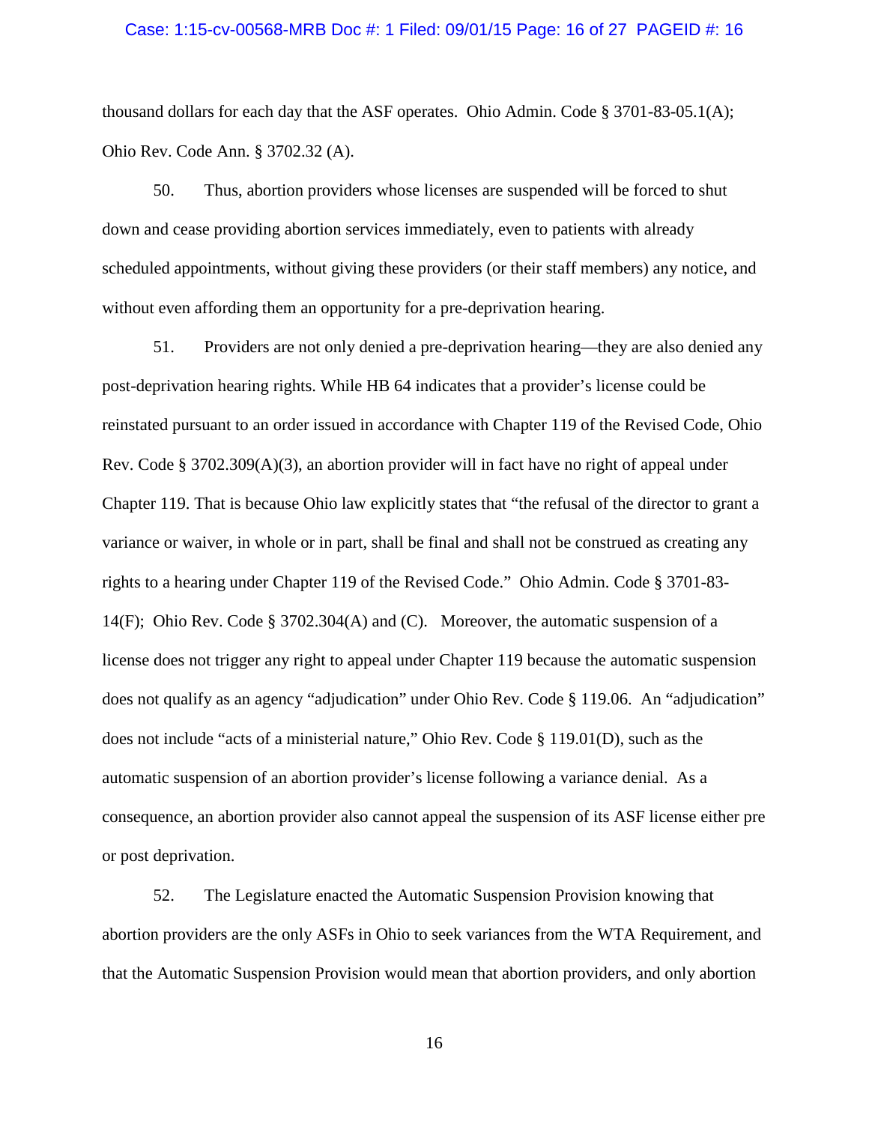#### Case: 1:15-cv-00568-MRB Doc #: 1 Filed: 09/01/15 Page: 16 of 27 PAGEID #: 16

thousand dollars for each day that the ASF operates. Ohio Admin. Code § 3701-83-05.1(A); Ohio Rev. Code Ann. § 3702.32 (A).

50. Thus, abortion providers whose licenses are suspended will be forced to shut down and cease providing abortion services immediately, even to patients with already scheduled appointments, without giving these providers (or their staff members) any notice, and without even affording them an opportunity for a pre-deprivation hearing.

51. Providers are not only denied a pre-deprivation hearing—they are also denied any post-deprivation hearing rights. While HB 64 indicates that a provider's license could be reinstated pursuant to an order issued in accordance with Chapter 119 of the Revised Code, Ohio Rev. Code § 3702.309(A)(3), an abortion provider will in fact have no right of appeal under Chapter 119. That is because Ohio law explicitly states that "the refusal of the director to grant a variance or waiver, in whole or in part, shall be final and shall not be construed as creating any rights to a hearing under Chapter 119 of the Revised Code." Ohio Admin. Code § 3701-83- 14(F); Ohio Rev. Code § 3702.304(A) and (C). Moreover, the automatic suspension of a license does not trigger any right to appeal under Chapter 119 because the automatic suspension does not qualify as an agency "adjudication" under Ohio Rev. Code § 119.06. An "adjudication" does not include "acts of a ministerial nature," Ohio Rev. Code § 119.01(D), such as the automatic suspension of an abortion provider's license following a variance denial. As a consequence, an abortion provider also cannot appeal the suspension of its ASF license either pre or post deprivation.

52. The Legislature enacted the Automatic Suspension Provision knowing that abortion providers are the only ASFs in Ohio to seek variances from the WTA Requirement, and that the Automatic Suspension Provision would mean that abortion providers, and only abortion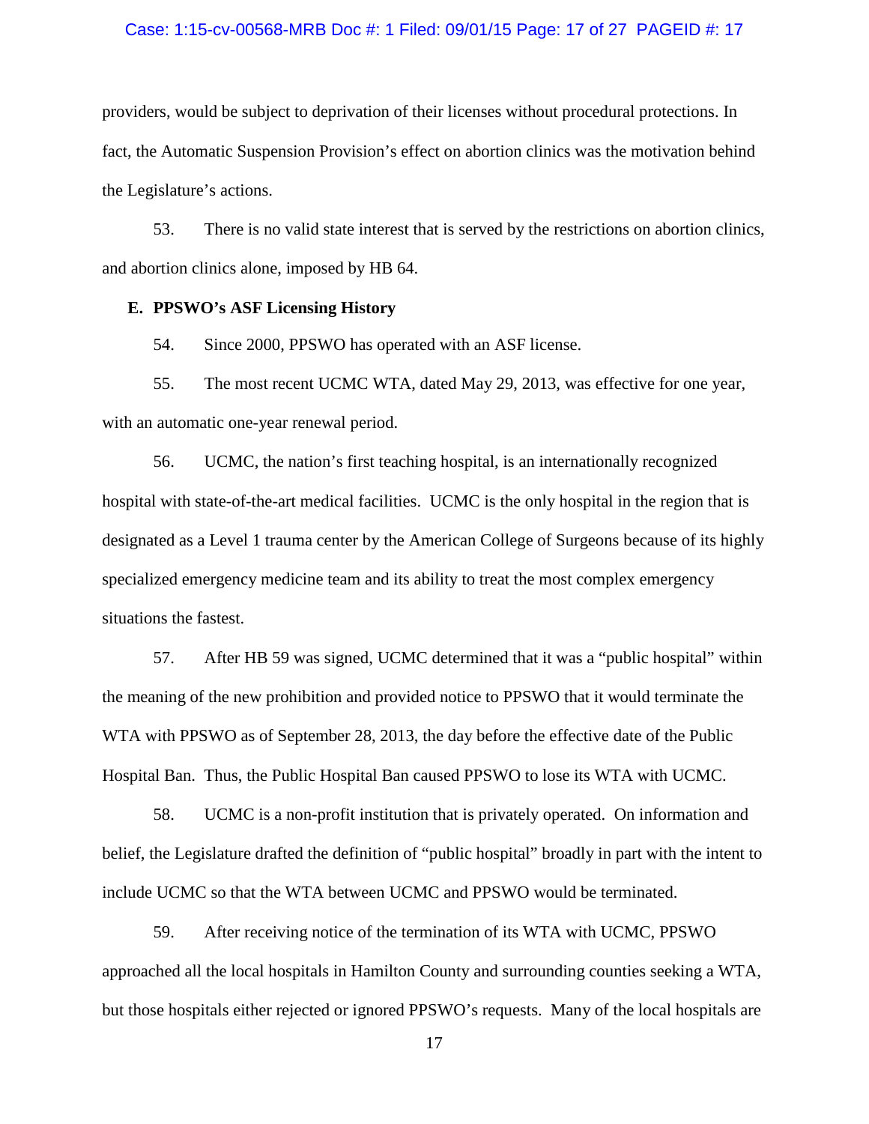#### Case: 1:15-cv-00568-MRB Doc #: 1 Filed: 09/01/15 Page: 17 of 27 PAGEID #: 17

providers, would be subject to deprivation of their licenses without procedural protections. In fact, the Automatic Suspension Provision's effect on abortion clinics was the motivation behind the Legislature's actions.

53. There is no valid state interest that is served by the restrictions on abortion clinics, and abortion clinics alone, imposed by HB 64.

## **E. PPSWO's ASF Licensing History**

54. Since 2000, PPSWO has operated with an ASF license.

55. The most recent UCMC WTA, dated May 29, 2013, was effective for one year, with an automatic one-year renewal period.

56. UCMC, the nation's first teaching hospital, is an internationally recognized hospital with state-of-the-art medical facilities. UCMC is the only hospital in the region that is designated as a Level 1 trauma center by the American College of Surgeons because of its highly specialized emergency medicine team and its ability to treat the most complex emergency situations the fastest.

57. After HB 59 was signed, UCMC determined that it was a "public hospital" within the meaning of the new prohibition and provided notice to PPSWO that it would terminate the WTA with PPSWO as of September 28, 2013, the day before the effective date of the Public Hospital Ban. Thus, the Public Hospital Ban caused PPSWO to lose its WTA with UCMC.

58. UCMC is a non-profit institution that is privately operated. On information and belief, the Legislature drafted the definition of "public hospital" broadly in part with the intent to include UCMC so that the WTA between UCMC and PPSWO would be terminated.

59. After receiving notice of the termination of its WTA with UCMC, PPSWO approached all the local hospitals in Hamilton County and surrounding counties seeking a WTA, but those hospitals either rejected or ignored PPSWO's requests. Many of the local hospitals are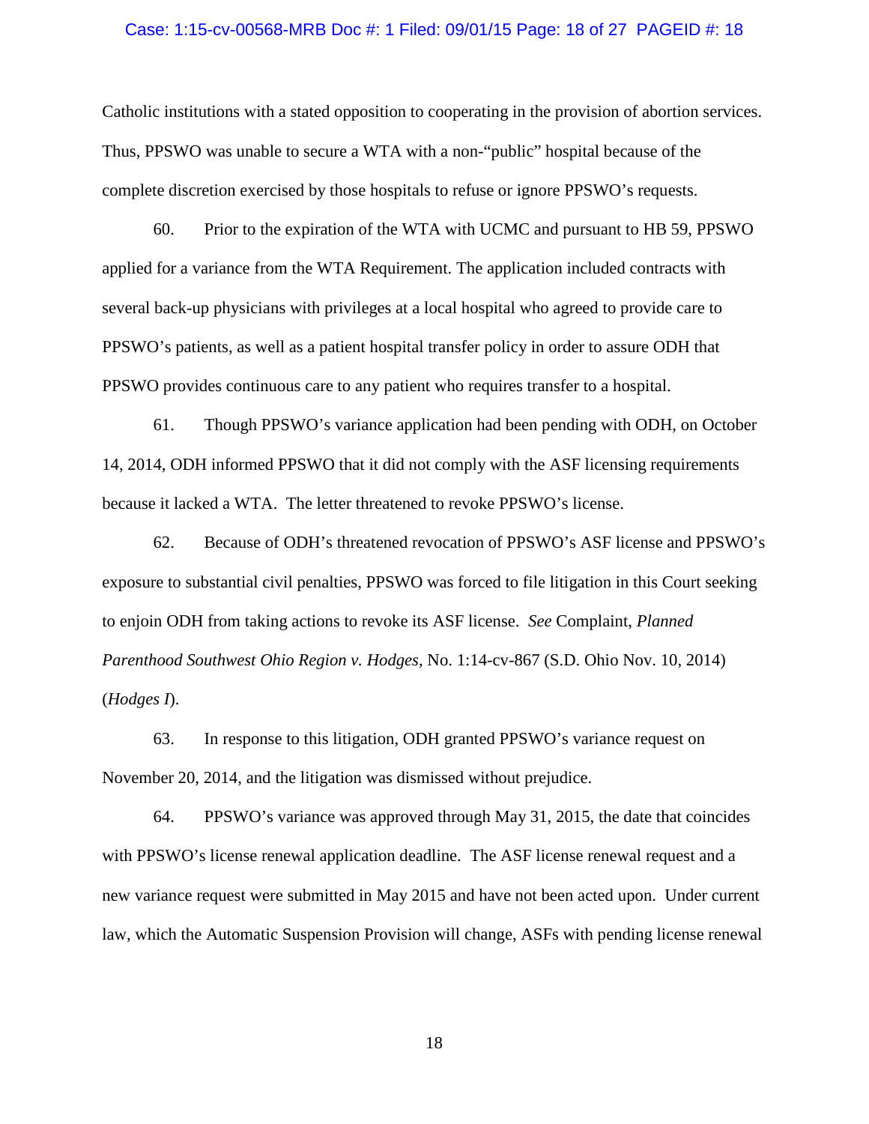#### Case: 1:15-cv-00568-MRB Doc #: 1 Filed: 09/01/15 Page: 18 of 27 PAGEID #: 18

Catholic institutions with a stated opposition to cooperating in the provision of abortion services. Thus, PPSWO was unable to secure a WTA with a non-"public" hospital because of the complete discretion exercised by those hospitals to refuse or ignore PPSWO's requests.

60. Prior to the expiration of the WTA with UCMC and pursuant to HB 59, PPSWO applied for a variance from the WTA Requirement. The application included contracts with several back-up physicians with privileges at a local hospital who agreed to provide care to PPSWO's patients, as well as a patient hospital transfer policy in order to assure ODH that PPSWO provides continuous care to any patient who requires transfer to a hospital.

61. Though PPSWO's variance application had been pending with ODH, on October 14, 2014, ODH informed PPSWO that it did not comply with the ASF licensing requirements because it lacked a WTA. The letter threatened to revoke PPSWO's license.

62. Because of ODH's threatened revocation of PPSWO's ASF license and PPSWO's exposure to substantial civil penalties, PPSWO was forced to file litigation in this Court seeking to enjoin ODH from taking actions to revoke its ASF license. *See* Complaint, *Planned Parenthood Southwest Ohio Region v. Hodges*, No. 1:14-cv-867 (S.D. Ohio Nov. 10, 2014) (*Hodges I*).

63. In response to this litigation, ODH granted PPSWO's variance request on November 20, 2014, and the litigation was dismissed without prejudice.

64. PPSWO's variance was approved through May 31, 2015, the date that coincides with PPSWO's license renewal application deadline. The ASF license renewal request and a new variance request were submitted in May 2015 and have not been acted upon. Under current law, which the Automatic Suspension Provision will change, ASFs with pending license renewal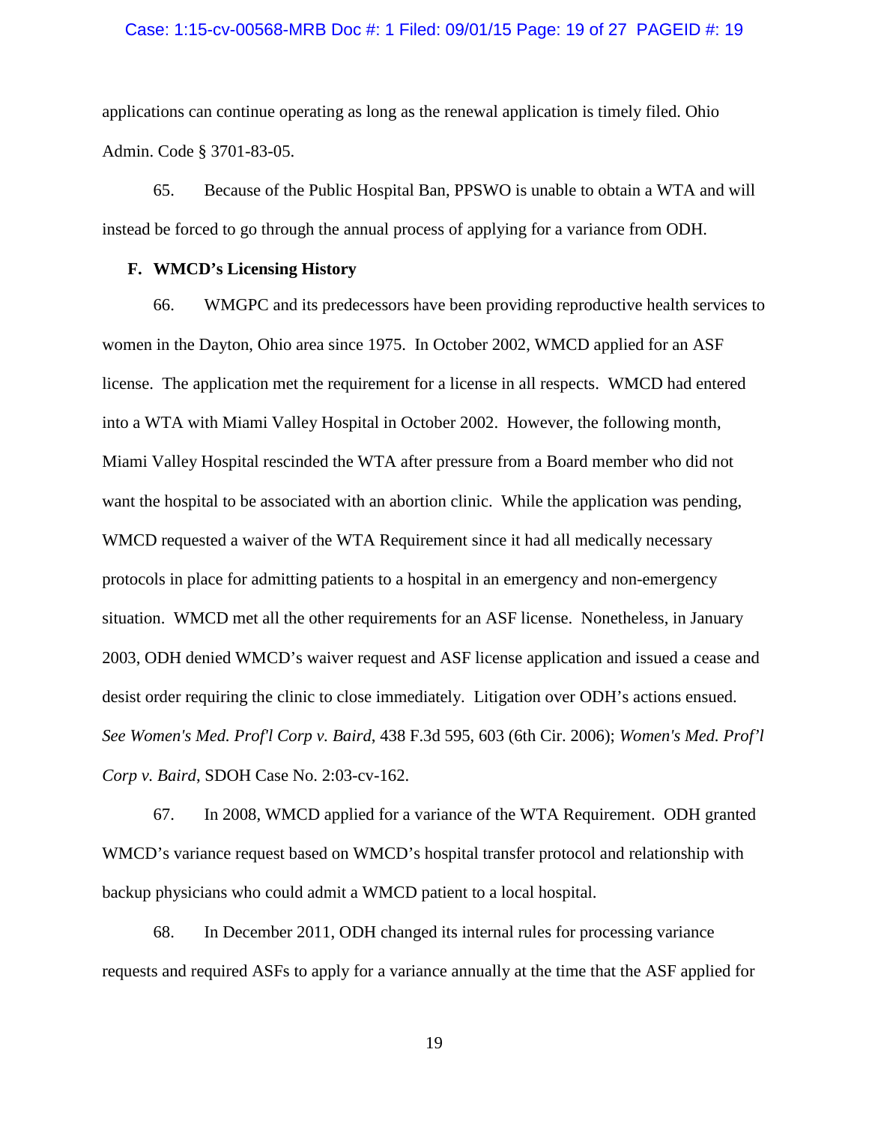#### Case: 1:15-cv-00568-MRB Doc #: 1 Filed: 09/01/15 Page: 19 of 27 PAGEID #: 19

applications can continue operating as long as the renewal application is timely filed. Ohio Admin. Code § 3701-83-05.

65. Because of the Public Hospital Ban, PPSWO is unable to obtain a WTA and will instead be forced to go through the annual process of applying for a variance from ODH.

## **F. WMCD's Licensing History**

66. WMGPC and its predecessors have been providing reproductive health services to women in the Dayton, Ohio area since 1975. In October 2002, WMCD applied for an ASF license. The application met the requirement for a license in all respects. WMCD had entered into a WTA with Miami Valley Hospital in October 2002. However, the following month, Miami Valley Hospital rescinded the WTA after pressure from a Board member who did not want the hospital to be associated with an abortion clinic. While the application was pending, WMCD requested a waiver of the WTA Requirement since it had all medically necessary protocols in place for admitting patients to a hospital in an emergency and non-emergency situation. WMCD met all the other requirements for an ASF license. Nonetheless, in January 2003, ODH denied WMCD's waiver request and ASF license application and issued a cease and desist order requiring the clinic to close immediately. Litigation over ODH's actions ensued. *See Women's Med. Prof'l Corp v. Baird*, 438 F.3d 595, 603 (6th Cir. 2006); *Women's Med. Prof'l Corp v. Baird*, SDOH Case No. 2:03-cv-162.

67. In 2008, WMCD applied for a variance of the WTA Requirement. ODH granted WMCD's variance request based on WMCD's hospital transfer protocol and relationship with backup physicians who could admit a WMCD patient to a local hospital.

68. In December 2011, ODH changed its internal rules for processing variance requests and required ASFs to apply for a variance annually at the time that the ASF applied for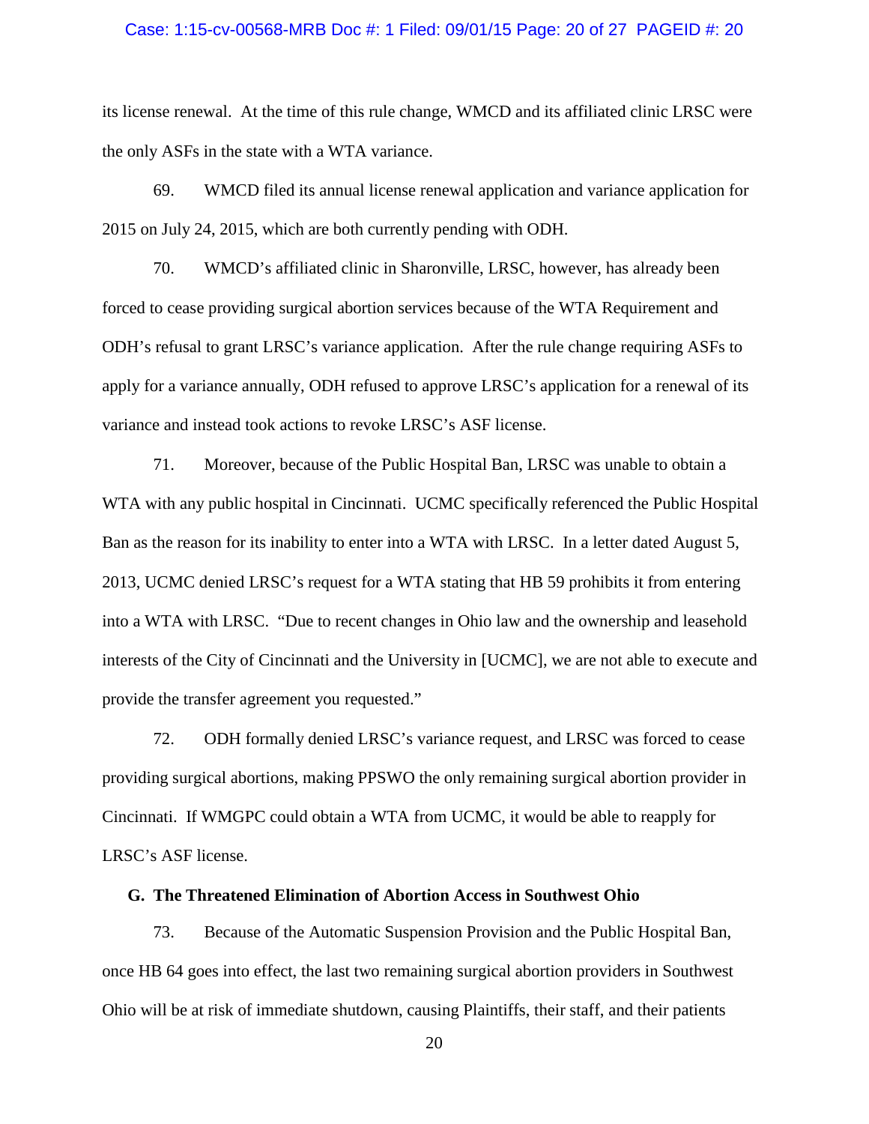#### Case: 1:15-cv-00568-MRB Doc #: 1 Filed: 09/01/15 Page: 20 of 27 PAGEID #: 20

its license renewal. At the time of this rule change, WMCD and its affiliated clinic LRSC were the only ASFs in the state with a WTA variance.

69. WMCD filed its annual license renewal application and variance application for 2015 on July 24, 2015, which are both currently pending with ODH.

70. WMCD's affiliated clinic in Sharonville, LRSC, however, has already been forced to cease providing surgical abortion services because of the WTA Requirement and ODH's refusal to grant LRSC's variance application. After the rule change requiring ASFs to apply for a variance annually, ODH refused to approve LRSC's application for a renewal of its variance and instead took actions to revoke LRSC's ASF license.

71. Moreover, because of the Public Hospital Ban, LRSC was unable to obtain a WTA with any public hospital in Cincinnati. UCMC specifically referenced the Public Hospital Ban as the reason for its inability to enter into a WTA with LRSC. In a letter dated August 5, 2013, UCMC denied LRSC's request for a WTA stating that HB 59 prohibits it from entering into a WTA with LRSC. "Due to recent changes in Ohio law and the ownership and leasehold interests of the City of Cincinnati and the University in [UCMC], we are not able to execute and provide the transfer agreement you requested."

72. ODH formally denied LRSC's variance request, and LRSC was forced to cease providing surgical abortions, making PPSWO the only remaining surgical abortion provider in Cincinnati. If WMGPC could obtain a WTA from UCMC, it would be able to reapply for LRSC's ASF license.

## **G. The Threatened Elimination of Abortion Access in Southwest Ohio**

73. Because of the Automatic Suspension Provision and the Public Hospital Ban, once HB 64 goes into effect, the last two remaining surgical abortion providers in Southwest Ohio will be at risk of immediate shutdown, causing Plaintiffs, their staff, and their patients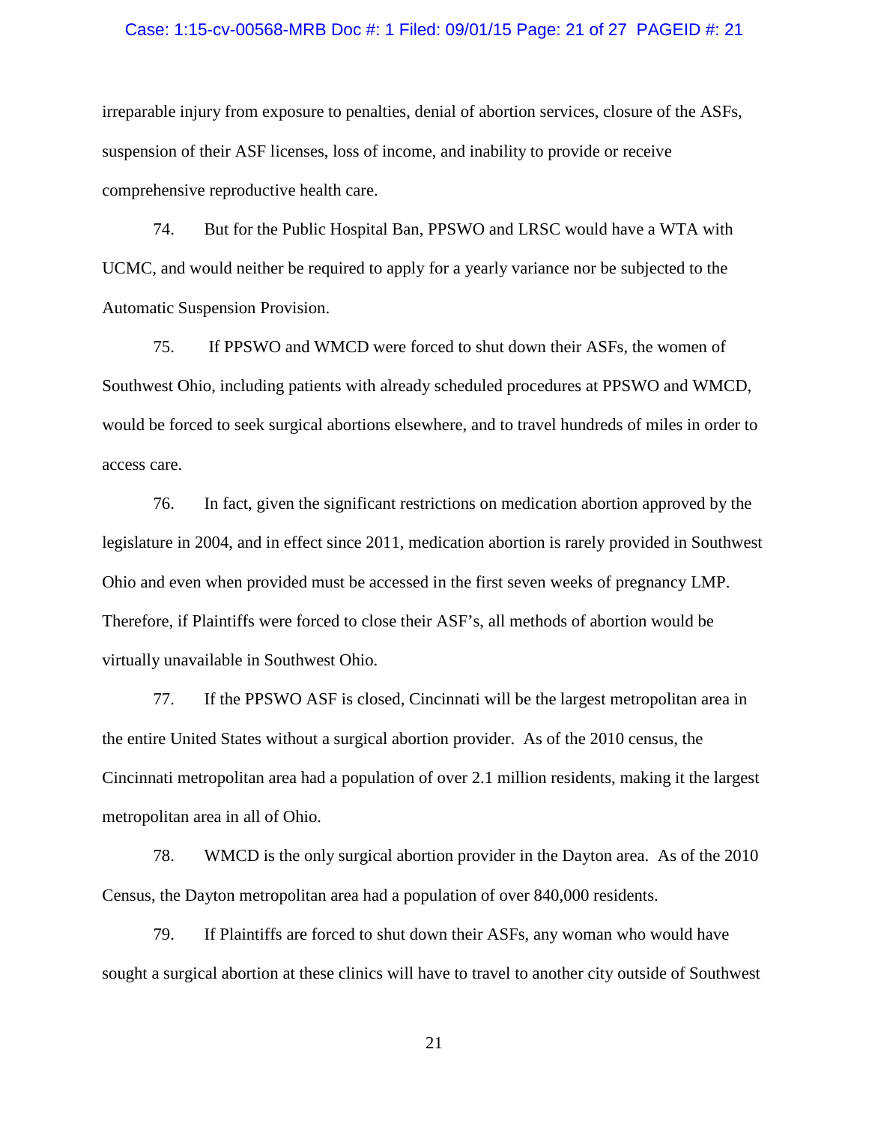#### Case: 1:15-cv-00568-MRB Doc #: 1 Filed: 09/01/15 Page: 21 of 27 PAGEID #: 21

irreparable injury from exposure to penalties, denial of abortion services, closure of the ASFs, suspension of their ASF licenses, loss of income, and inability to provide or receive comprehensive reproductive health care.

74. But for the Public Hospital Ban, PPSWO and LRSC would have a WTA with UCMC, and would neither be required to apply for a yearly variance nor be subjected to the Automatic Suspension Provision.

75. If PPSWO and WMCD were forced to shut down their ASFs, the women of Southwest Ohio, including patients with already scheduled procedures at PPSWO and WMCD, would be forced to seek surgical abortions elsewhere, and to travel hundreds of miles in order to access care.

76. In fact, given the significant restrictions on medication abortion approved by the legislature in 2004, and in effect since 2011, medication abortion is rarely provided in Southwest Ohio and even when provided must be accessed in the first seven weeks of pregnancy LMP. Therefore, if Plaintiffs were forced to close their ASF's, all methods of abortion would be virtually unavailable in Southwest Ohio.

77. If the PPSWO ASF is closed, Cincinnati will be the largest metropolitan area in the entire United States without a surgical abortion provider. As of the 2010 census, the Cincinnati metropolitan area had a population of over 2.1 million residents, making it the largest metropolitan area in all of Ohio.

78. WMCD is the only surgical abortion provider in the Dayton area. As of the 2010 Census, the Dayton metropolitan area had a population of over 840,000 residents.

79. If Plaintiffs are forced to shut down their ASFs, any woman who would have sought a surgical abortion at these clinics will have to travel to another city outside of Southwest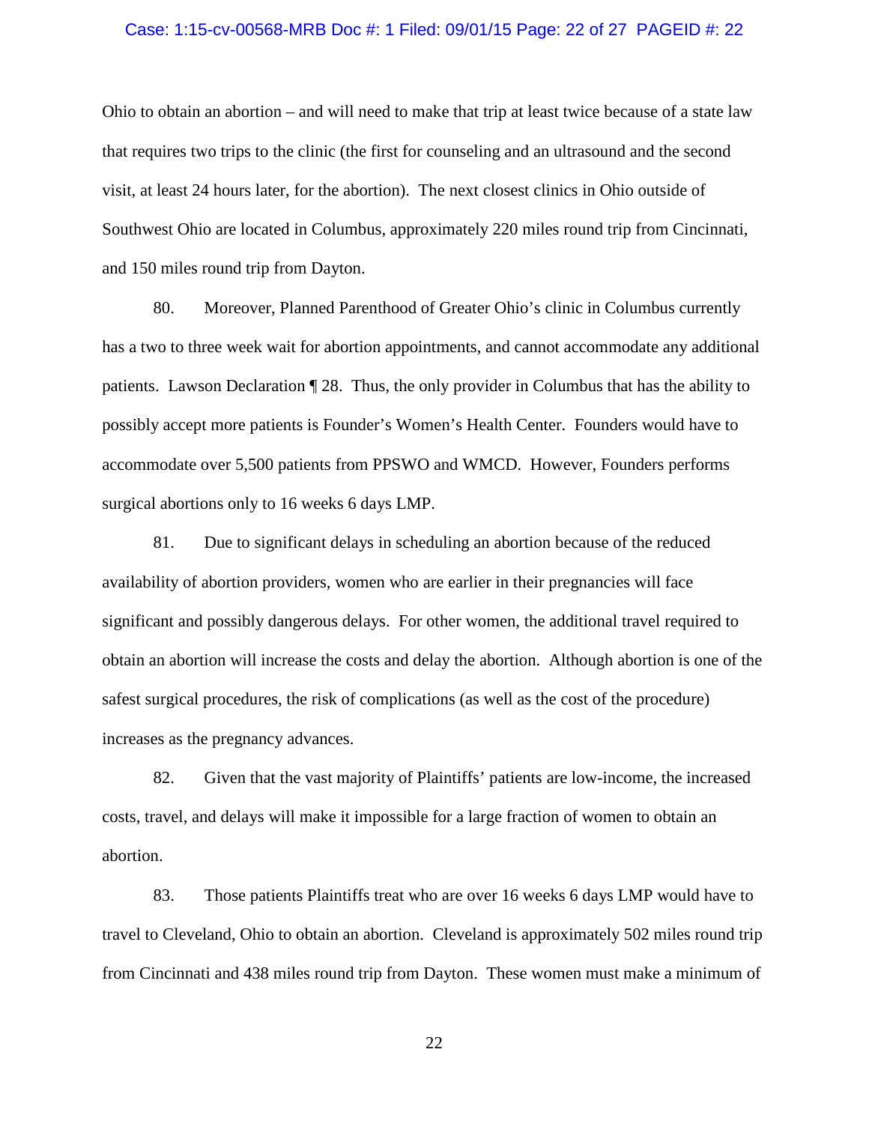#### Case: 1:15-cv-00568-MRB Doc #: 1 Filed: 09/01/15 Page: 22 of 27 PAGEID #: 22

Ohio to obtain an abortion – and will need to make that trip at least twice because of a state law that requires two trips to the clinic (the first for counseling and an ultrasound and the second visit, at least 24 hours later, for the abortion). The next closest clinics in Ohio outside of Southwest Ohio are located in Columbus, approximately 220 miles round trip from Cincinnati, and 150 miles round trip from Dayton.

80. Moreover, Planned Parenthood of Greater Ohio's clinic in Columbus currently has a two to three week wait for abortion appointments, and cannot accommodate any additional patients. Lawson Declaration ¶ 28. Thus, the only provider in Columbus that has the ability to possibly accept more patients is Founder's Women's Health Center. Founders would have to accommodate over 5,500 patients from PPSWO and WMCD. However, Founders performs surgical abortions only to 16 weeks 6 days LMP.

81. Due to significant delays in scheduling an abortion because of the reduced availability of abortion providers, women who are earlier in their pregnancies will face significant and possibly dangerous delays. For other women, the additional travel required to obtain an abortion will increase the costs and delay the abortion. Although abortion is one of the safest surgical procedures, the risk of complications (as well as the cost of the procedure) increases as the pregnancy advances.

82. Given that the vast majority of Plaintiffs' patients are low-income, the increased costs, travel, and delays will make it impossible for a large fraction of women to obtain an abortion.

83. Those patients Plaintiffs treat who are over 16 weeks 6 days LMP would have to travel to Cleveland, Ohio to obtain an abortion. Cleveland is approximately 502 miles round trip from Cincinnati and 438 miles round trip from Dayton. These women must make a minimum of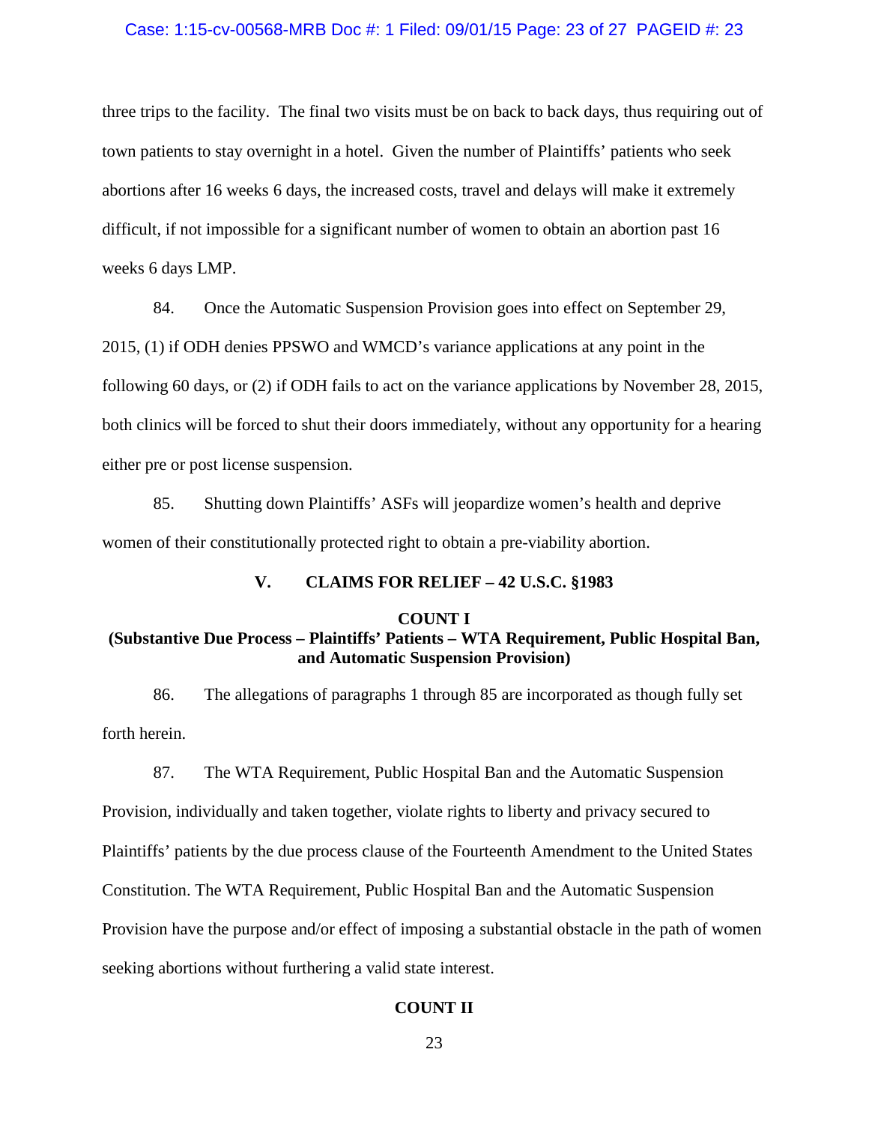#### Case: 1:15-cv-00568-MRB Doc #: 1 Filed: 09/01/15 Page: 23 of 27 PAGEID #: 23

three trips to the facility. The final two visits must be on back to back days, thus requiring out of town patients to stay overnight in a hotel. Given the number of Plaintiffs' patients who seek abortions after 16 weeks 6 days, the increased costs, travel and delays will make it extremely difficult, if not impossible for a significant number of women to obtain an abortion past 16 weeks 6 days LMP.

84. Once the Automatic Suspension Provision goes into effect on September 29,

2015, (1) if ODH denies PPSWO and WMCD's variance applications at any point in the following 60 days, or (2) if ODH fails to act on the variance applications by November 28, 2015, both clinics will be forced to shut their doors immediately, without any opportunity for a hearing either pre or post license suspension.

85. Shutting down Plaintiffs' ASFs will jeopardize women's health and deprive women of their constitutionally protected right to obtain a pre-viability abortion.

## **V. CLAIMS FOR RELIEF – 42 U.S.C. §1983**

#### **COUNT I**

## **(Substantive Due Process – Plaintiffs' Patients – WTA Requirement, Public Hospital Ban, and Automatic Suspension Provision)**

86. The allegations of paragraphs 1 through 85 are incorporated as though fully set forth herein.

87. The WTA Requirement, Public Hospital Ban and the Automatic Suspension Provision, individually and taken together, violate rights to liberty and privacy secured to Plaintiffs' patients by the due process clause of the Fourteenth Amendment to the United States Constitution. The WTA Requirement, Public Hospital Ban and the Automatic Suspension Provision have the purpose and/or effect of imposing a substantial obstacle in the path of women seeking abortions without furthering a valid state interest.

## **COUNT II**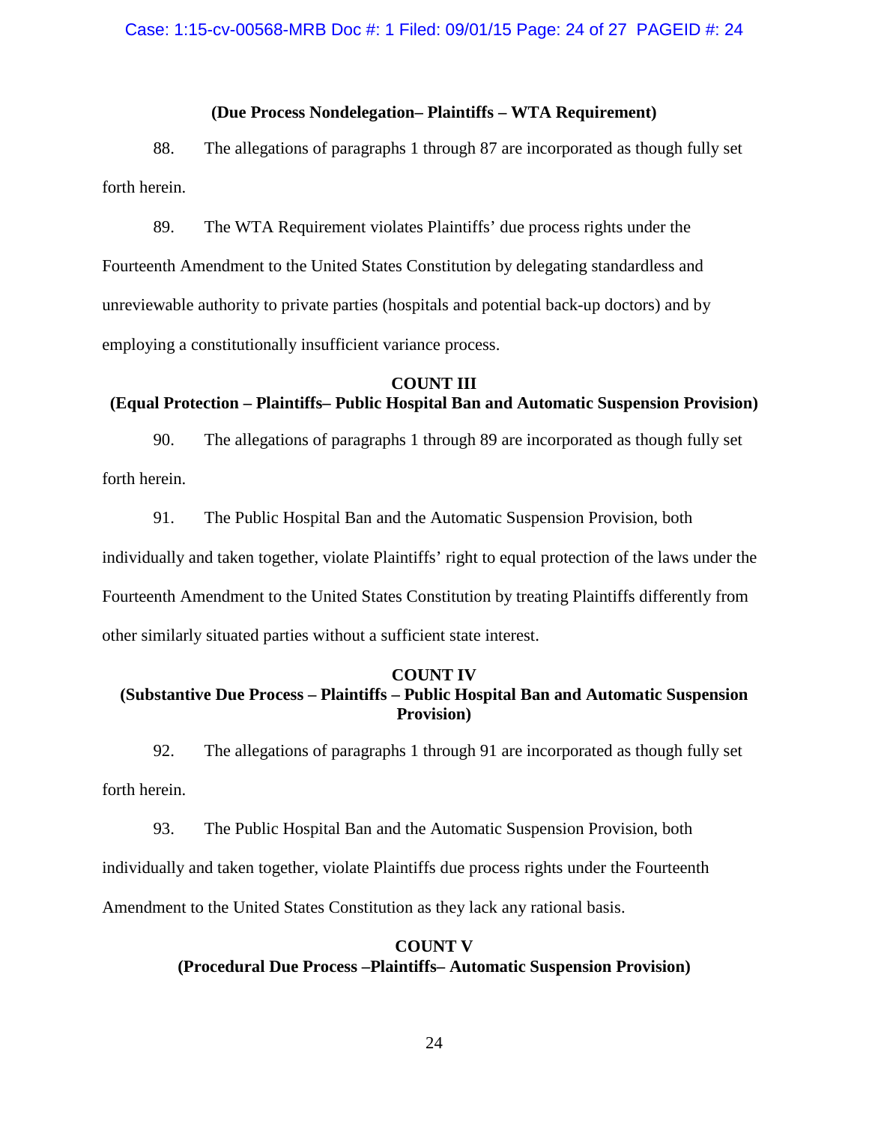## **(Due Process Nondelegation– Plaintiffs – WTA Requirement)**

88. The allegations of paragraphs 1 through 87 are incorporated as though fully set forth herein.

89. The WTA Requirement violates Plaintiffs' due process rights under the Fourteenth Amendment to the United States Constitution by delegating standardless and unreviewable authority to private parties (hospitals and potential back-up doctors) and by employing a constitutionally insufficient variance process.

#### **COUNT III**

## **(Equal Protection – Plaintiffs– Public Hospital Ban and Automatic Suspension Provision)**

90. The allegations of paragraphs 1 through 89 are incorporated as though fully set forth herein.

91. The Public Hospital Ban and the Automatic Suspension Provision, both individually and taken together, violate Plaintiffs' right to equal protection of the laws under the Fourteenth Amendment to the United States Constitution by treating Plaintiffs differently from other similarly situated parties without a sufficient state interest.

## **COUNT IV (Substantive Due Process – Plaintiffs – Public Hospital Ban and Automatic Suspension Provision)**

92. The allegations of paragraphs 1 through 91 are incorporated as though fully set forth herein.

93. The Public Hospital Ban and the Automatic Suspension Provision, both individually and taken together, violate Plaintiffs due process rights under the Fourteenth Amendment to the United States Constitution as they lack any rational basis.

## **COUNT V (Procedural Due Process –Plaintiffs– Automatic Suspension Provision)**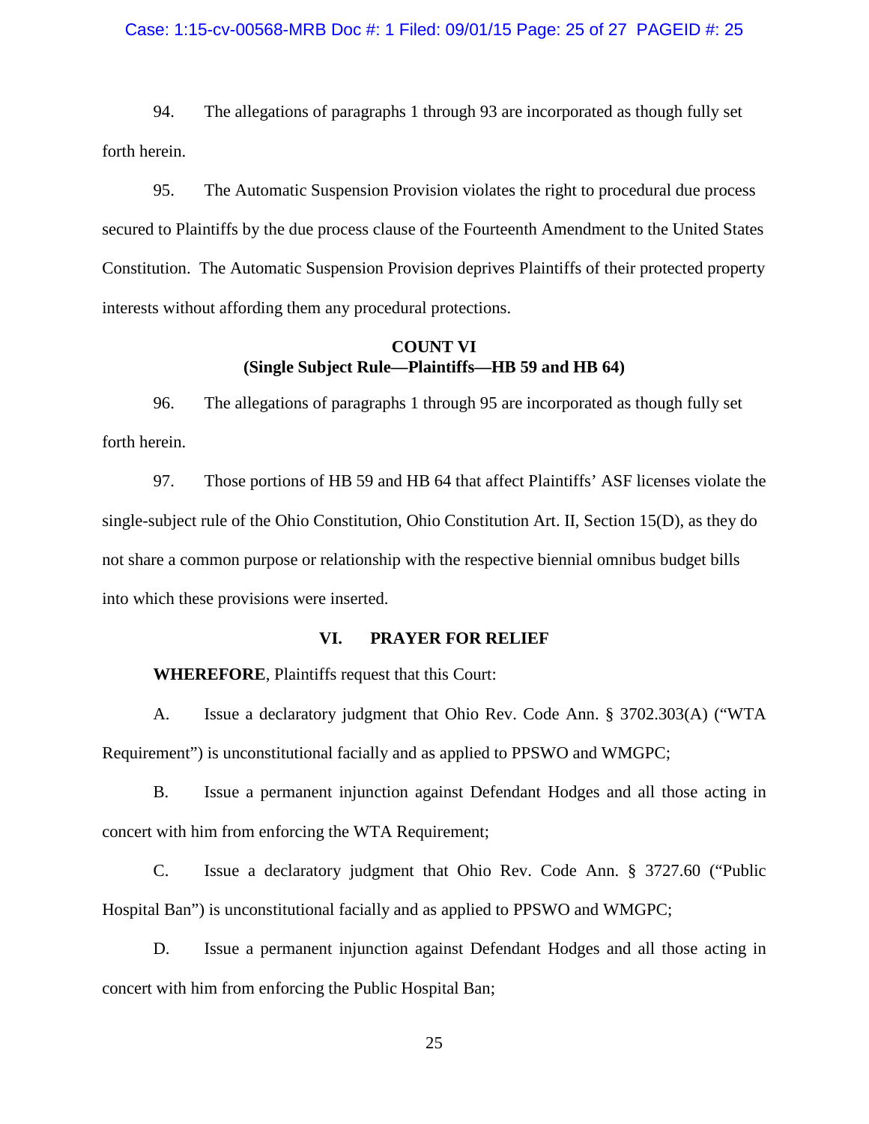#### Case: 1:15-cv-00568-MRB Doc #: 1 Filed: 09/01/15 Page: 25 of 27 PAGEID #: 25

94. The allegations of paragraphs 1 through 93 are incorporated as though fully set forth herein.

95. The Automatic Suspension Provision violates the right to procedural due process secured to Plaintiffs by the due process clause of the Fourteenth Amendment to the United States Constitution. The Automatic Suspension Provision deprives Plaintiffs of their protected property interests without affording them any procedural protections.

## **COUNT VI (Single Subject Rule—Plaintiffs—HB 59 and HB 64)**

96. The allegations of paragraphs 1 through 95 are incorporated as though fully set forth herein.

97. Those portions of HB 59 and HB 64 that affect Plaintiffs' ASF licenses violate the single-subject rule of the Ohio Constitution, Ohio Constitution Art. II, Section 15(D), as they do not share a common purpose or relationship with the respective biennial omnibus budget bills into which these provisions were inserted.

## **VI. PRAYER FOR RELIEF**

**WHEREFORE**, Plaintiffs request that this Court:

A. Issue a declaratory judgment that Ohio Rev. Code Ann. § 3702.303(A) ("WTA Requirement") is unconstitutional facially and as applied to PPSWO and WMGPC;

B. Issue a permanent injunction against Defendant Hodges and all those acting in concert with him from enforcing the WTA Requirement;

C. Issue a declaratory judgment that Ohio Rev. Code Ann. § 3727.60 ("Public Hospital Ban") is unconstitutional facially and as applied to PPSWO and WMGPC;

D. Issue a permanent injunction against Defendant Hodges and all those acting in concert with him from enforcing the Public Hospital Ban;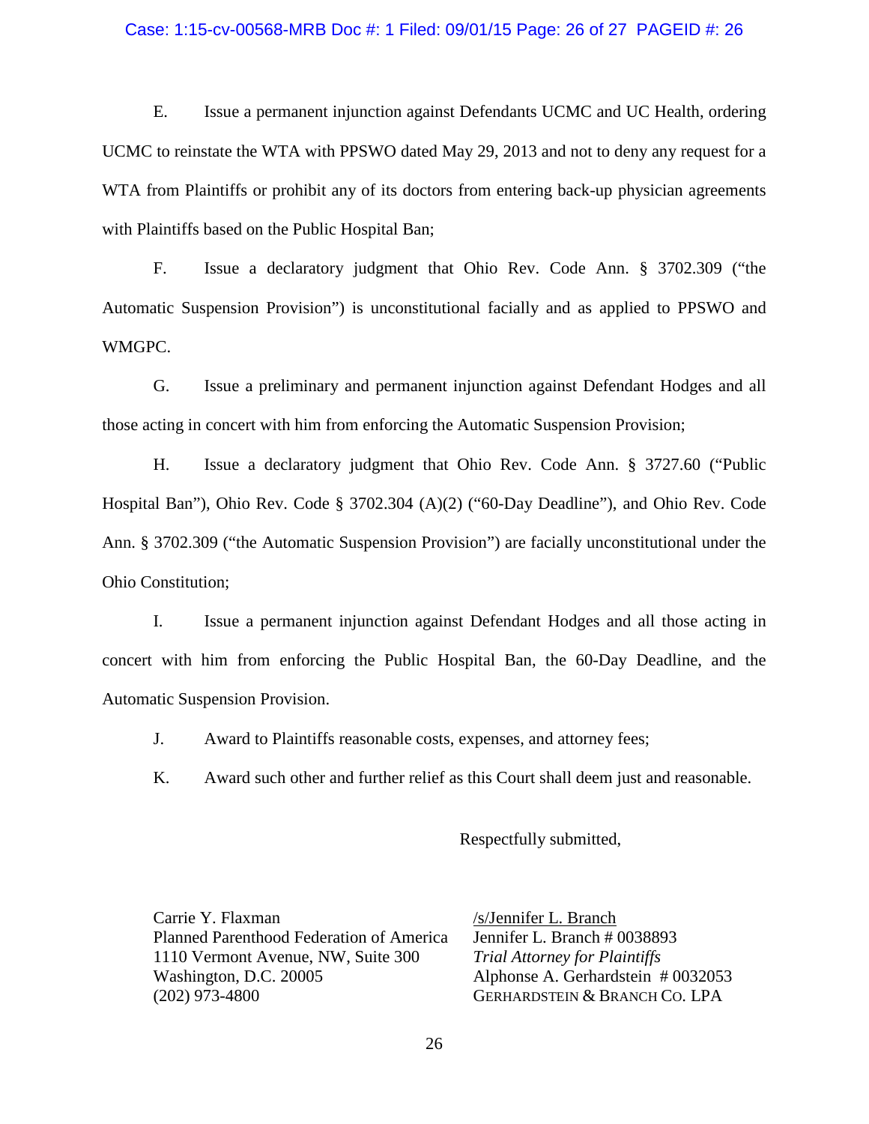#### Case: 1:15-cv-00568-MRB Doc #: 1 Filed: 09/01/15 Page: 26 of 27 PAGEID #: 26

E. Issue a permanent injunction against Defendants UCMC and UC Health, ordering UCMC to reinstate the WTA with PPSWO dated May 29, 2013 and not to deny any request for a WTA from Plaintiffs or prohibit any of its doctors from entering back-up physician agreements with Plaintiffs based on the Public Hospital Ban;

F. Issue a declaratory judgment that Ohio Rev. Code Ann. § 3702.309 ("the Automatic Suspension Provision") is unconstitutional facially and as applied to PPSWO and WMGPC.

G. Issue a preliminary and permanent injunction against Defendant Hodges and all those acting in concert with him from enforcing the Automatic Suspension Provision;

H. Issue a declaratory judgment that Ohio Rev. Code Ann. § 3727.60 ("Public Hospital Ban"), Ohio Rev. Code § 3702.304 (A)(2) ("60-Day Deadline"), and Ohio Rev. Code Ann. § 3702.309 ("the Automatic Suspension Provision") are facially unconstitutional under the Ohio Constitution;

I. Issue a permanent injunction against Defendant Hodges and all those acting in concert with him from enforcing the Public Hospital Ban, the 60-Day Deadline, and the Automatic Suspension Provision.

J. Award to Plaintiffs reasonable costs, expenses, and attorney fees;

K. Award such other and further relief as this Court shall deem just and reasonable.

Respectfully submitted,

Carrie Y. Flaxman Planned Parenthood Federation of America 1110 Vermont Avenue, NW, Suite 300 Washington, D.C. 20005 (202) 973-4800

/s/Jennifer L. Branch Jennifer L. Branch # 0038893 *Trial Attorney for Plaintiffs* Alphonse A. Gerhardstein # 0032053 GERHARDSTEIN & BRANCH CO. LPA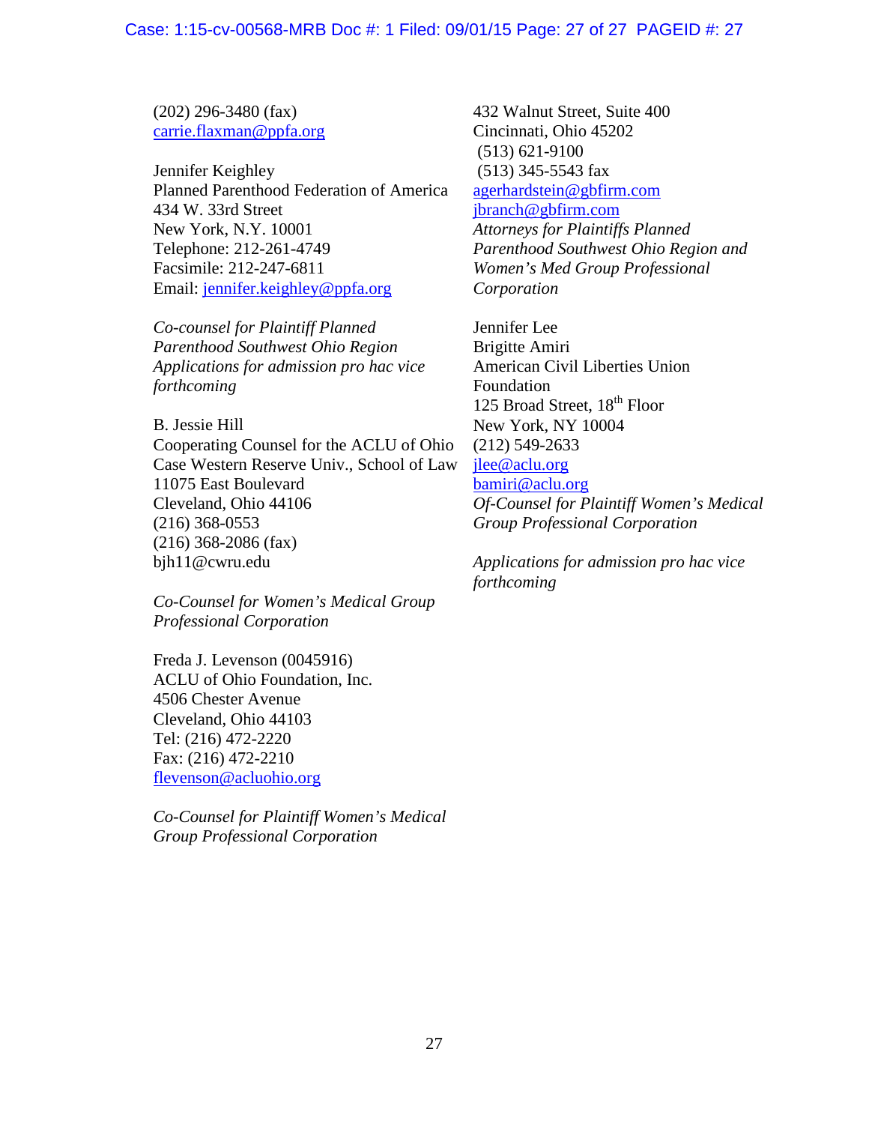(202) 296-3480 (fax) [carrie.flaxman@ppfa.org](mailto:carrie.flaxman@ppfa.org)

Jennifer Keighley Planned Parenthood Federation of America 434 W. 33rd Street New York, N.Y. 10001 Telephone: 212-261-4749 Facsimile: 212-247-6811 Email: [jennifer.keighley@ppfa.org](mailto:jennifer.keighley@ppfa.org)

*Co-counsel for Plaintiff Planned Parenthood Southwest Ohio Region Applications for admission pro hac vice forthcoming*

B. Jessie Hill Cooperating Counsel for the ACLU of Ohio Case Western Reserve Univ., School of Law 11075 East Boulevard Cleveland, Ohio 44106 (216) 368-0553 (216) 368-2086 (fax) bjh11@cwru.edu

*Co-Counsel for Women's Medical Group Professional Corporation*

Freda J. Levenson (0045916) ACLU of Ohio Foundation, Inc. 4506 Chester Avenue Cleveland, Ohio 44103 Tel: (216) 472-2220 Fax: (216) 472-2210 [flevenson@acluohio.org](mailto:flevenson@acluohio.org)

*Co-Counsel for Plaintiff Women's Medical Group Professional Corporation*

432 Walnut Street, Suite 400 Cincinnati, Ohio 45202 (513) 621-9100 (513) 345-5543 fax [agerhardstein@gbfirm.com](mailto:agerhardstein@laufgerhard.com) [jbranch@gbfirm.com](mailto:jbranch@laufgerhard.com) *Attorneys for Plaintiffs Planned Parenthood Southwest Ohio Region and Women's Med Group Professional Corporation*

Jennifer Lee Brigitte Amiri American Civil Liberties Union Foundation 125 Broad Street,  $18<sup>th</sup>$  Floor New York, NY 10004 (212) 549-2633 [jlee@aclu.org](mailto:jlee@aclu.org) [bamiri@aclu.org](mailto:bamiri@aclu.org) *Of-Counsel for Plaintiff Women's Medical Group Professional Corporation*

*Applications for admission pro hac vice forthcoming*